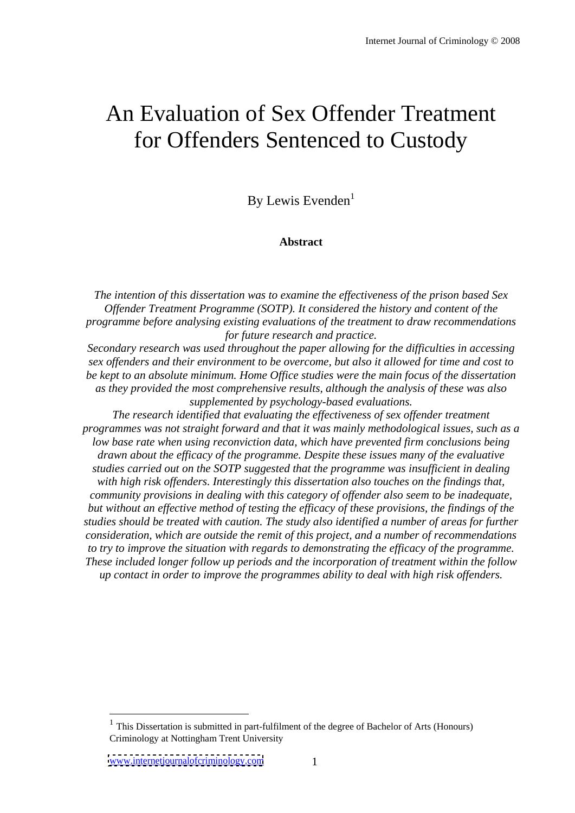# An Evaluation of Sex Offender Treatment for Offenders Sentenced to Custody

By Lewis Evenden<sup>1</sup> 1

#### **Abstract**

*The intention of this dissertation was to examine the ef ectiveness of the prison based Sex Of ender Treatment Programme (SOTP). It considered the history and content of the programme before analysing existing evaluations of the treatment to draw recommendations for future research and practice.*

*Secondary research was used throughout the paper allowing for the dif iculties in accessing sex of enders and their environment to be overcome, but also it allowed for time and cost to be kept to an absolute minimum. Home Of ice studies were the main focus of the dissertation as they provided the most comprehensive results, although the analysis of these was also supplemented by psychology-based evaluations.*

*The research identified that evaluating the ef ectiveness of sex of ender treatment programmes was not straight forward and that it was mainly methodological issues, such as a low base rate when using reconviction data, which have prevented firm conclusions being drawn about the ef icacy of the programme. Despite these issues many of the evaluative studies carried out on the SOTP suggested that the programme was insuf icient in dealing with high risk of enders. Interestingly this dissertation also touches on the findings that, community provisions in dealing with this category of of ender also seem to be inadequate, but without an ef ective method of testing the ef icacy of these provisions, the findings of the studies should be treated with caution. The study also identified a number of areas for further consideration, which are outside the remit of this project, and a number of recommendations to try to improve the situation with regards to demonstrating the ef icacy of the programme. These included longer follow up periods and the incorporation of treatment within the follow up contact in order to improve the programmes ability to deal with high risk of enders.*

 $<sup>1</sup>$  This Dissertation is submitted in part-fulfilment of the degree of Bachelor of Arts (Honours)</sup> Criminology at Nottingham Trent University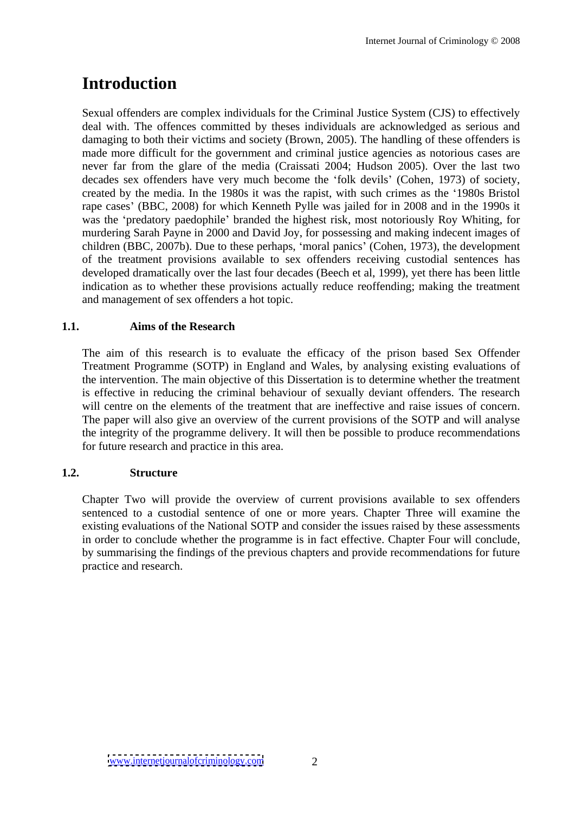# **Introduction**

Sexual offenders are complex individuals for the Criminal Justice System (CJS) to effectively deal with. The offences committed by theses individuals are acknowledged as serious and damaging to both their victims and society (Brown, 2005). The handling of these offenders is made more difficult for the government and criminal justice agencies as notorious cases are never far from the glare of the media (Craissati 2004; Hudson 2005). Over the last two decades sex offenders have very much become the 'folk devils' (Cohen, 1973) of society, created by the media. In the 1980s it was the rapist, with such crimes as the 1980s Bristol rape cases' (BBC, 2008) for which Kenneth Pylle was jailed for in 2008 and in the 1990s it was the 'predatory paedophile' branded the highest risk, most notoriously Roy Whiting, for murdering Sarah Payne in 2000 and David Joy, for possessing and making indecent images of children (BBC, 2007b). Due to these perhaps, 'moral panics' (Cohen, 1973), the development of the treatment provisions available to sex offenders receiving custodial sentences has developed dramatically over the last four decades (Beech et al, 1999), yet there has been little indication as to whether these provisions actually reduce reoffending; making the treatment and management of sex offenders a hot topic.

# **1.1. Aims of the Research**

The aim of this research is to evaluate the efficacy of the prison based Sex Offender Treatment Programme (SOTP) in England and Wales, by analysing existing evaluations of the intervention. The main objective of this Dissertation is to determine whether the treatment is effective in reducing the criminal behaviour of sexually deviant offenders. The research will centre on the elements of the treatment that are ineffective and raise issues of concern. The paper will also give an overview of the current provisions of the SOTP and will analyse the integrity of the programme delivery. It will then be possible to produce recommendations for future research and practice in this area.

# **1.2. Structure**

Chapter Two will provide the overview of current provisions available to sex offenders sentenced to a custodial sentence of one or more years. Chapter Three will examine the existing evaluations of the National SOTP and consider the issues raised by these assessments in order to conclude whether the programme is in fact effective. Chapter Four will conclude, by summarising the findings of the previous chapters and provide recommendations for future practice and research.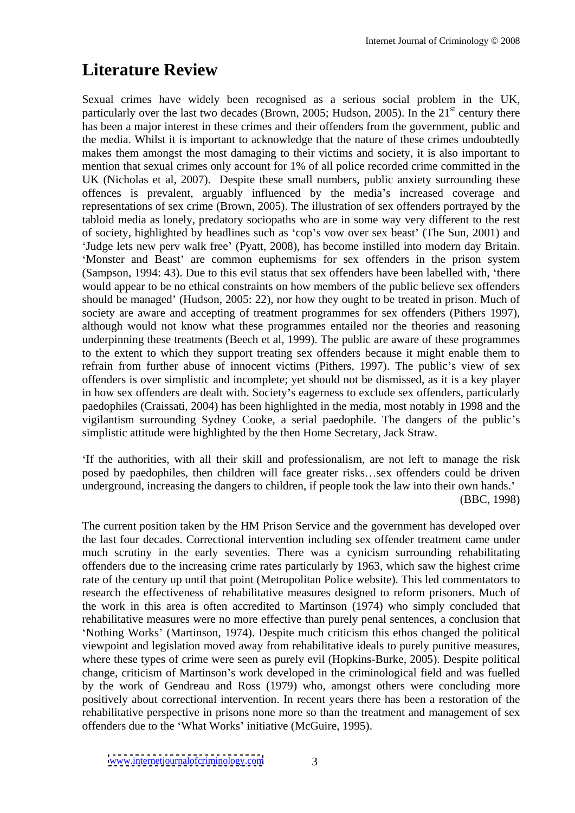# **Literature Review**

Sexual crimes have widely been recognised as a serious social problem in the UK, particularly over the last two decades (Brown, 2005; Hudson, 2005). In the  $21<sup>st</sup>$  century there <sup>st</sup> century there has been a major interest in these crimes and their offenders from the government, public and the media. Whilst it is important to acknowledge that the nature of these crimes undoubtedly makes them amongst the most damaging to their victims and society, it is also important to mention that sexual crimes only account for 1% of all police recorded crime committed in the UK (Nicholas et al, 2007). Despite these small numbers, public anxiety surrounding these offences is prevalent, arguably influenced by the media's increased coverage and representations of sex crime (Brown, 2005). The illustration of sex offenders portrayed by the tabloid media as lonely, predatory sociopaths who are in some way very different to the rest of society, highlighted by headlines such as 'cop's vow over sex beast' (The Sun, 2001) and 'Judge lets new perv walk free' (Pyatt, 2008), has become instilled into modern day Britain. 'Monster and Beast' are common euphemisms for sex offenders in the prison system (Sampson, 1994: 43). Due to this evil status that sex offenders have been labelled with, 'there would appear to be no ethical constraints on how members of the public believe sex offenders should be managed' (Hudson, 2005: 22), nor how they ought to be treated in prison. Much of society are aware and accepting of treatment programmes for sex offenders (Pithers 1997), although would not know what these programmes entailed nor the theories and reasoning underpinning these treatments (Beech et al, 1999). The public are aware of these programmes to the extent to which they support treating sex offenders because it might enable them to refrain from further abuse of innocent victims (Pithers, 1997). The public's view of sex offenders is over simplistic and incomplete; yet should not be dismissed, as it is a key player in how sex offenders are dealt with. Society's eagerness to exclude sex offenders, particularly paedophiles (Craissati, 2004) has been highlighted in the media, most notably in 1998 and the vigilantism surrounding Sydney Cooke, a serial paedophile. The dangers of the public s simplistic attitude were highlighted by the then Home Secretary, Jack Straw.

If the authorities, with all their skill and professionalism, are not left to manage the risk posed by paedophiles, then children will face greater risks...sex offenders could be driven underground, increasing the dangers to children, if people took the law into their own hands. (BBC, 1998)

The current position taken by the HM Prison Service and the government has developed over the last four decades. Correctional intervention including sex offender treatment came under much scrutiny in the early seventies. There was a cynicism surrounding rehabilitating offenders due to the increasing crime rates particularly by 1963, which saw the highest crime rate of the century up until that point (Metropolitan Police website). This led commentators to research the effectiveness of rehabilitative measures designed to reform prisoners. Much of the work in this area is often accredited to Martinson (1974) who simply concluded that rehabilitative measures were no more effective than purely penal sentences, a conclusion that 'Nothing Works' (Martinson, 1974). Despite much criticism this ethos changed the political viewpoint and legislation moved away from rehabilitative ideals to purely punitive measures, where these types of crime were seen as purely evil (Hopkins-Burke, 2005). Despite political change, criticism of Martinson's work developed in the criminological field and was fuelled by the work of Gendreau and Ross (1979) who, amongst others were concluding more positively about correctional intervention. In recent years there has been a restoration of the rehabilitative perspective in prisons none more so than the treatment and management of sex offenders due to the 'What Works' initiative (McGuire, 1995).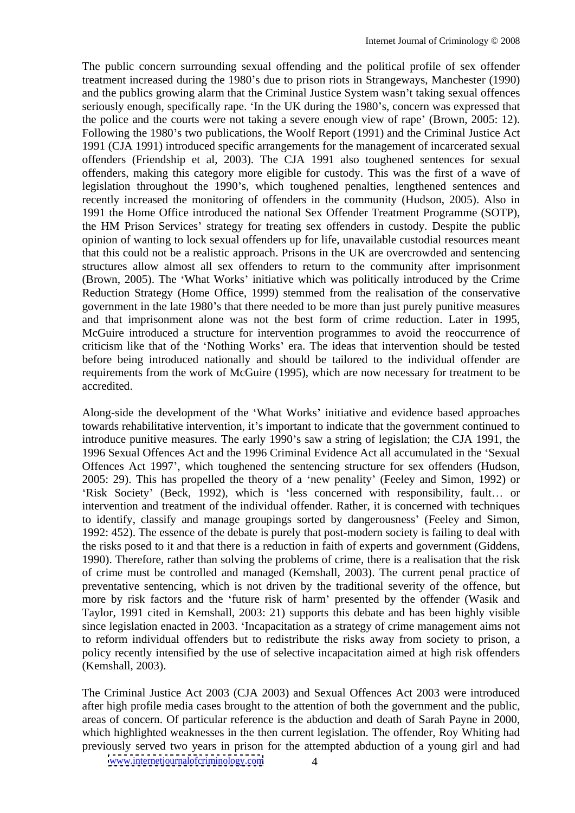The public concern surrounding sexual offending and the political profile of sex offender treatment increased during the 1980's due to prison riots in Strangeways, Manchester (1990) and the publics growing alarm that the Criminal Justice System wasn't taking sexual offences seriously enough, specifically rape. In the UK during the 1980's, concern was expressed that the police and the courts were not taking a severe enough view of rape' (Brown, 2005: 12). Following the 1980's two publications, the Woolf Report (1991) and the Criminal Justice Act 1991 (CJA 1991) introduced specific arrangements for the management of incarcerated sexual offenders (Friendship et al, 2003). The CJA 1991 also toughened sentences for sexual offenders, making this category more eligible for custody. This was the first of a wave of legislation throughout the 1990's, which toughened penalties, lengthened sentences and recently increased the monitoring of offenders in the community (Hudson, 2005). Also in 1991 the Home Office introduced the national Sex Offender Treatment Programme (SOTP), the HM Prison Services' strategy for treating sex offenders in custody. Despite the public opinion of wanting to lock sexual offenders up for life, unavailable custodial resources meant that this could not be a realistic approach. Prisons in the UK are overcrowded and sentencing structures allow almost all sex offenders to return to the community after imprisonment (Brown, 2005). The 'What Works' initiative which was politically introduced by the Crime Reduction Strategy (Home Office, 1999) stemmed from the realisation of the conservative government in the late 1980's that there needed to be more than just purely punitive measures and that imprisonment alone was not the best form of crime reduction. Later in 1995, McGuire introduced a structure for intervention programmes to avoid the reoccurrence of criticism like that of the 'Nothing Works' era. The ideas that intervention should be tested before being introduced nationally and should be tailored to the individual offender are requirements from the work of McGuire (1995), which are now necessary for treatment to be accredited.

Along-side the development of the 'What Works' initiative and evidence based approaches towards rehabilitative intervention, it's important to indicate that the government continued to introduce punitive measures. The early 1990's saw a string of legislation; the CJA 1991, the 1996 Sexual Offences Act and the 1996 Criminal Evidence Act all accumulated in the Sexual Offences Act 1997', which toughened the sentencing structure for sex offenders (Hudson,  $2005: 29$ ). This has propelled the theory of a 'new penality' (Feeley and Simon, 1992) or 'Risk Society' (Beck, 1992), which is 'less concerned with responsibility, fault... or intervention and treatment of the individual offender. Rather, it is concerned with techniques to identify, classify and manage groupings sorted by dangerousness' (Feeley and Simon, 1992: 452). The essence of the debate is purely that post-modern society is failing to deal with the risks posed to it and that there is a reduction in faith of experts and government (Giddens, 1990). Therefore, rather than solving the problems of crime, there is a realisation that the risk of crime must be controlled and managed (Kemshall, 2003). The current penal practice of preventative sentencing, which is not driven by the traditional severity of the offence, but more by risk factors and the 'future risk of harm' presented by the offender (Wasik and Taylor, 1991 cited in Kemshall, 2003: 21) supports this debate and has been highly visible since legislation enacted in 2003. 'Incapacitation as a strategy of crime management aims not to reform individual offenders but to redistribute the risks away from society to prison, a policy recently intensified by the use of selective incapacitation aimed at high risk offenders (Kemshall, 2003).

The Criminal Justice Act 2003 (CJA 2003) and Sexual Offences Act 2003 were introduced after high profile media cases brought to the attention of both the government and the public, areas of concern. Of particular reference is the abduction and death of Sarah Payne in 2000, which highlighted weaknesses in the then current legislation.The offender, Roy Whiting had previously served two years in prison for the attempted abduction of a young girl and had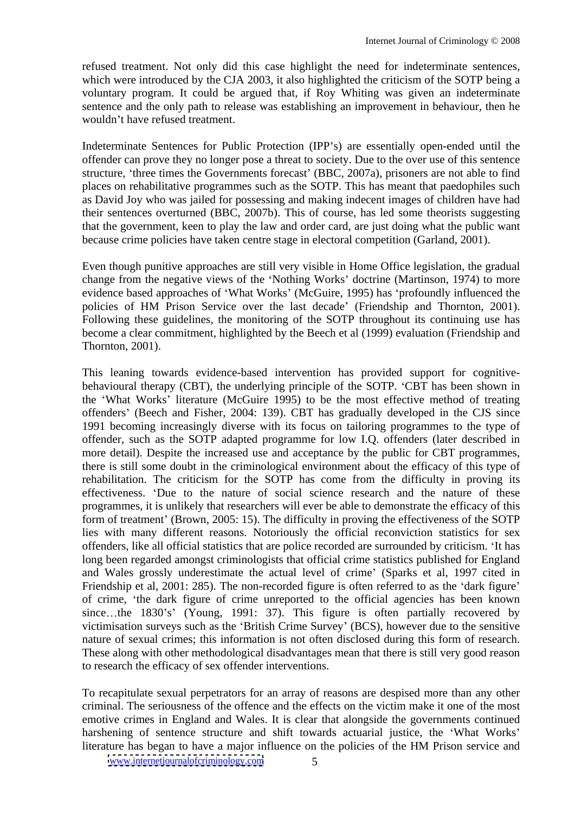refused treatment. Not only did this case highlight the need for indeterminate sentences, which were introduced by the CJA 2003, it also highlighted the criticism of the SOTP being a voluntary program. It could be argued that, if Roy Whiting was given an indeterminate sentence and the only path to release was establishing an improvement in behaviour, then he wouldn't have refused treatment.

Indeterminate Sentences for Public Protection (IPP's) are essentially open-ended until the offender can prove they no longer pose a threat to society. Due to the over use of this sentence structure, 'three times the Governments forecast' (BBC, 2007a), prisoners are not able to find places on rehabilitative programmes such as the SOTP. This has meant that paedophiles such as David Joy who was jailed for possessing and making indecent images of children have had their sentences overturned (BBC, 2007b). This of course, has led some theorists suggesting that the government, keen to play the law and order card, are just doing what the public want because crime policies have taken centre stage in electoral competition (Garland, 2001).

Even though punitive approaches are still very visible in Home Office legislation, the gradual change from the negative views of the 'Nothing Works' doctrine (Martinson, 1974) to more evidence based approaches of 'What Works' (McGuire, 1995) has 'profoundly influenced the policies of HM Prison Service over the last decade' (Friendship and Thornton, 2001). Following these guidelines, the monitoring of the SOTP throughout its continuing use has become a clear commitment, highlighted by the Beech et al (1999) evaluation (Friendship and Thornton, 2001).

This leaning towards evidence-based intervention has provided support for cognitive behavioural therapy (CBT), the underlying principle of the SOTP. CBT has been shown in the 'What Works' literature (McGuire 1995) to be the most effective method of treating offenders' (Beech and Fisher, 2004: 139). CBT has gradually developed in the CJS since 1991 becoming increasingly diverse with its focus on tailoring programmes to the type of offender, such as the SOTP adapted programme for low I.Q. offenders (later described in more detail). Despite the increased use and acceptance by the public for CBT programmes, there is still some doubt in the criminological environment about the efficacy of this type of rehabilitation. The criticism for the SOTP has come from the difficulty in proving its effectiveness. Due to the nature of social science research and the nature of these programmes, it is unlikely that researchers will ever be able to demonstrate the efficacy of this form of treatment' (Brown, 2005: 15). The difficulty in proving the effectiveness of the SOTP lies with many different reasons. Notoriously the official reconviction statistics for sex offenders, like all official statistics that are police recorded are surrounded by criticism. 'It has long been regarded amongst criminologists that official crime statistics published for England and Wales grossly underestimate the actual level of crime' (Sparks et al, 1997 cited in Friendship et al, 2001: 285). The non-recorded figure is often referred to as the 'dark figure' of crime, the dark figure of crime unreported to the official agencies has been known since...the 1830's' (Young, 1991: 37). This figure is often partially recovered by victimisation surveys such as the 'British Crime Survey' (BCS), however due to the sensitive nature of sexual crimes; this information is not often disclosed during this form of research. These along with other methodological disadvantages mean that there is still very good reason to research the efficacy of sex offender interventions.

To recapitulate sexual perpetrators for an array of reasons are despised more than any other criminal. The seriousness of the offence and the effects on the victim make it one of the most emotive crimes in England and Wales. It is clear that alongside the governments continued harshening of sentence structure and shift towards actuarial justice, the 'What Works' literature has began to have a major influence on the policies of the HM Prison service and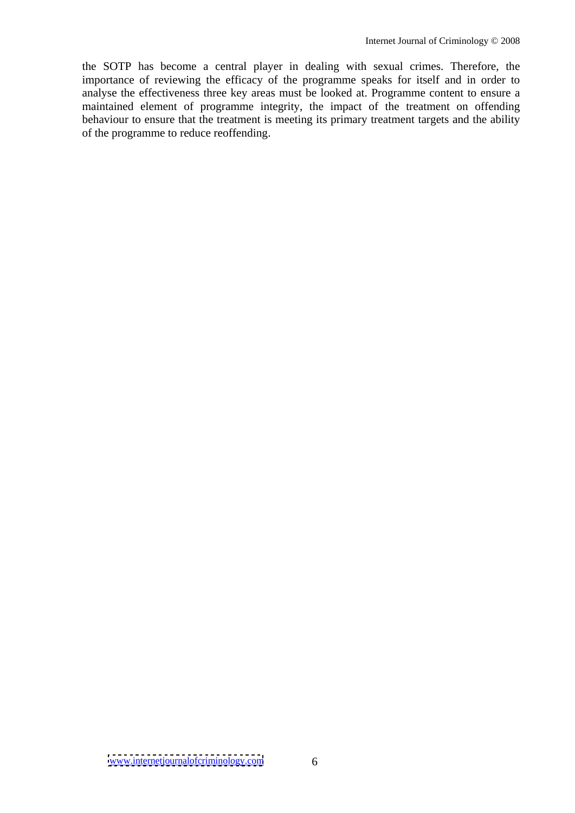the SOTP has become a central player in dealing with sexual crimes. Therefore, the importance of reviewing the efficacy of the programme speaks for itself and in order to analyse the effectiveness three key areas must be looked at. Programme content to ensure a maintained element of programme integrity, the impact of the treatment on offending behaviour to ensure that the treatment is meeting its primary treatment targets and the ability of the programme to reduce reoffending.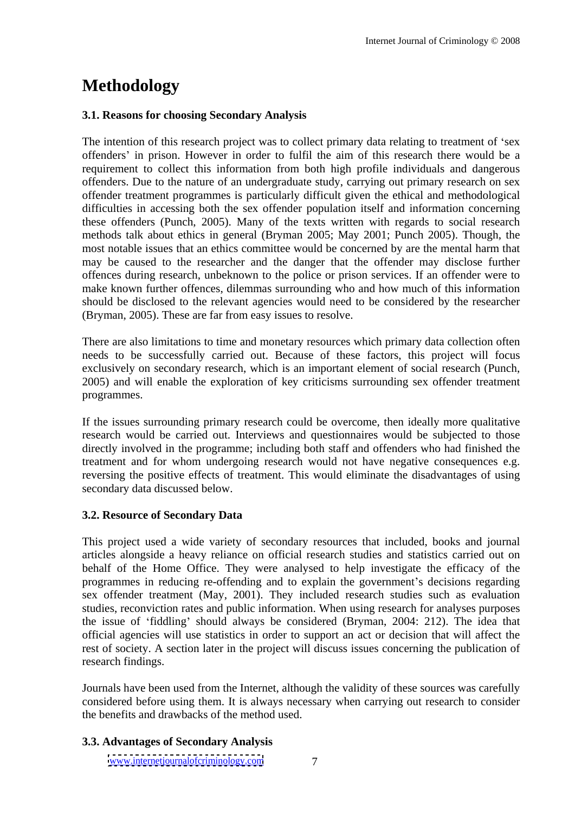# **Methodology**

#### **3.1. Reasons for choosing Secondary Analysis**

The intention of this research project was to collect primary data relating to treatment of 'sex offenders' in prison. However in order to fulfil the aim of this research there would be a requirement to collect this information from both high profile individuals and dangerous offenders. Due to the nature of an undergraduate study, carrying out primary research on sex offender treatment programmes is particularly difficult given the ethical and methodological difficulties in accessing both the sex offender population itself and information concerning these offenders (Punch, 2005). Many of the texts written with regards to social research methods talk about ethics in general (Bryman 2005; May 2001; Punch 2005). Though, the most notable issues that an ethics committee would be concerned by are the mental harm that may be caused to the researcher and the danger that the offender may disclose further offences during research, unbeknown to the police or prison services. If an offender were to make known further offences, dilemmas surrounding who and how much of this information should be disclosed to the relevant agencies would need to be considered by the researcher (Bryman, 2005). These are far from easy issues to resolve.

There are also limitations to time and monetary resources which primary data collection often needs to be successfully carried out. Because of these factors, this project will focus exclusively on secondary research, which is an important element of social research (Punch, 2005) and will enable the exploration of key criticisms surrounding sex offender treatment programmes.

If the issues surrounding primary research could be overcome, then ideally more qualitative research would be carried out. Interviews and questionnaires would be subjected to those directly involved in the programme; including both staff and offenders who had finished the treatment and for whom undergoing research would not have negative consequences e.g. reversing the positive effects of treatment. This would eliminate the disadvantages of using secondary data discussed below.

#### **3.2. Resource of Secondary Data**

This project used a wide variety of secondary resources that included, books and journal articles alongside a heavy reliance on official research studies and statistics carried out on behalf of the Home Office. They were analysed to help investigate the efficacy of the programmes in reducing re-offending and to explain the government's decisions regarding sex offender treatment (May, 2001). They included research studies such as evaluation studies, reconviction rates and public information. When using research for analyses purposes the issue of 'fiddling' should always be considered (Bryman, 2004: 212). The idea that official agencies will use statistics in order to support an act or decision that will affect the rest of society. A section later in the project will discuss issues concerning the publication of research findings.

Journals have been used from the Internet, although the validity of these sources was carefully considered before using them. It is always necessary when carrying out research to consider the benefits and drawbacks of the method used.

#### **3.3. Advantages of Secondary Analysis**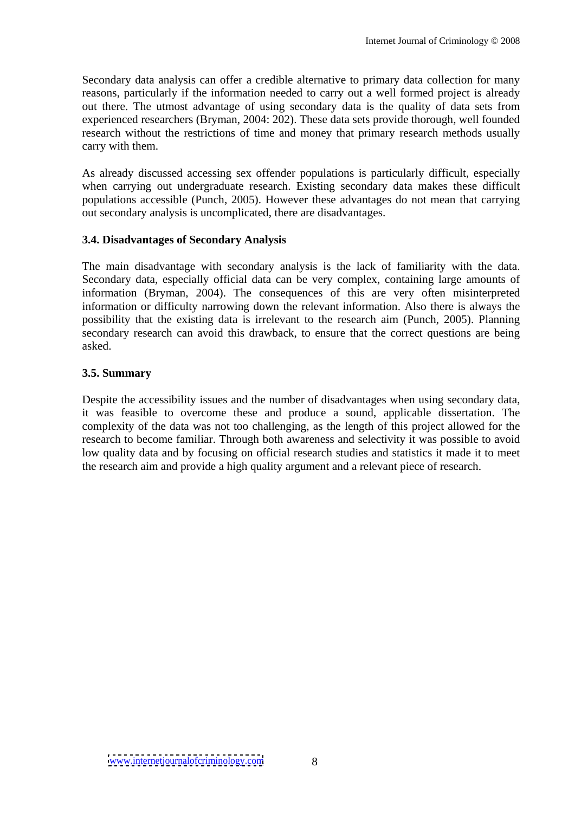Secondary data analysis can offer a credible alternative to primary data collection for many reasons, particularly if the information needed to carry out a well formed project is already out there. The utmost advantage of using secondary data is the quality of data sets from experienced researchers (Bryman, 2004: 202). These data sets provide thorough, well founded research without the restrictions of time and money that primary research methods usually carry with them.

As already discussed accessing sex offender populations is particularly difficult, especially when carrying out undergraduate research. Existing secondary data makes these difficult populations accessible (Punch, 2005). However these advantages do not mean that carrying out secondary analysis is uncomplicated, there are disadvantages.

#### **3.4. Disadvantages of Secondary Analysis**

The main disadvantage with secondary analysis is the lack of familiarity with the data. Secondary data, especially official data can be very complex, containing large amounts of information (Bryman, 2004). The consequences of this are very often misinterpreted information or difficulty narrowing down the relevant information. Also there is always the possibility that the existing data is irrelevant to the research aim (Punch, 2005). Planning secondary research can avoid this drawback, to ensure that the correct questions are being asked.

#### **3.5. Summary**

Despite the accessibility issues and the number of disadvantages when using secondary data, it was feasible to overcome these and produce a sound, applicable dissertation. The complexity of the data was not too challenging, as the length of this project allowed for the research to become familiar. Through both awareness and selectivity it was possible to avoid low quality data and by focusing on official research studies and statistics it made it to meet the research aim and provide a high quality argument and arelevant piece of research.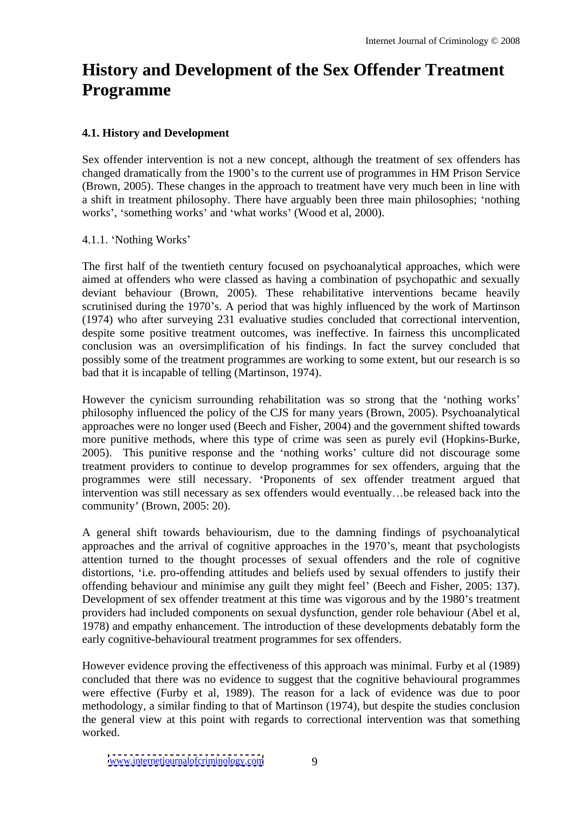# **History and Development of the Sex Offender Treatment Programme**

### **4.1. History and Development**

Sex offender intervention is not a new concept, although the treatment of sex offenders has changed dramatically from the 1900's to the current use of programmes in HM Prison Service (Brown, 2005). These changes in the approach to treatment have very much been in line with a shift in treatment philosophy. There have arguably been three main philosophies; 'nothing works', 'something works' and 'what works' (Wood et al, 2000).

4.1.1. Nothing Works

The first half of the twentieth century focused on psychoanalytical approaches, which were aimed at offenders who were classed as having a combination of psychopathic and sexually deviant behaviour (Brown, 2005). These rehabilitative interventions became heavily scrutinised during the 1970's. A period that was highly influenced by the work of Martinson (1974) who after surveying 231 evaluative studies concluded that correctional intervention, despite some positive treatment outcomes, was ineffective. In fairness this uncomplicated conclusion was an oversimplification of his findings. In fact the survey concluded that possibly some of the treatment programmes are working to some extent, but our research is so bad that it is incapable of telling (Martinson, 1974).

However the cynicism surrounding rehabilitation was so strong that the 'nothing works' philosophy influenced the policy of the CJS for many years (Brown, 2005). Psychoanalytical approaches were no longer used (Beech and Fisher, 2004) and the government shifted towards more punitive methods, where this type of crime was seen as purely evil (Hopkins-Burke, 2005). This punitive response and the 'nothing works' culture did not discourage some treatment providers to continue to develop programmes for sex offenders, arguing that the programmes were still necessary. Proponents of sex offender treatment argued that intervention was still necessary as sex offenders would eventually...be released back into the community' (Brown, 2005: 20).

A general shift towards behaviourism, due to the damning findings of psychoanalytical approaches and the arrival of cognitive approaches in the 1970's, meant that psychologists attention turned to the thought processes of sexual offenders and the role of cognitive distortions, 'i.e. pro-offending attitudes and beliefs used by sexual offenders to justify their offending behaviour and minimise any guilt they might feel' (Beech and Fisher, 2005: 137). Development of sex offender treatment at this time was vigorous and by the 1980's treatment providers had included components on sexual dysfunction, gender role behaviour (Abel et al, 1978) and empathy enhancement. The introduction of these developments debatably form the early cognitive-behavioural treatment programmes for sex offenders.

However evidence proving the effectiveness of this approach was minimal. Furby et al (1989) concluded that there was no evidence to suggest that the cognitive behavioural programmes were effective (Furby et al, 1989). The reason for a lack of evidence was due to poor methodology, a similar finding to that of Martinson (1974), but despite the studies conclusion the general view at this point with regards to correctional intervention was that something worked.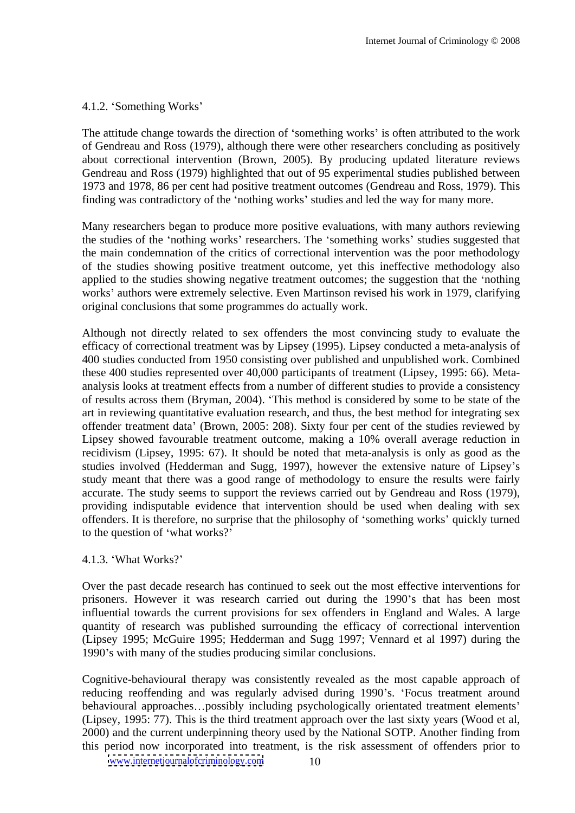#### 4.1.2. Something Works

The attitude change towards the direction of 'something works' is often attributed to the work of Gendreau and Ross (1979), although there were other researchersconcluding as positively about correctional intervention (Brown, 2005). By producing updated literature reviews Gendreau and Ross (1979) highlighted that out of 95 experimental studies published between 1973 and 1978, 86 per cent had positive treatment outcomes (Gendreau and Ross, 1979). This finding was contradictory of the 'nothing works' studies and led the way for many more.

Many researchers began to produce more positive evaluations, with many authors reviewing the studies of the 'nothing works' researchers. The 'something works' studies suggested that the main condemnation of the critics of correctional intervention was the poor methodology of the studies showing positive treatment outcome, yet this ineffective methodology also applied to the studies showing negative treatment outcomes; the suggestion that the 'nothing works' authors were extremely selective. Even Martinson revised his work in 1979, clarifying original conclusions that some programmes do actually work.

Although not directly related to sex offenders the most convincing study to evaluate the efficacy of correctional treatment was by Lipsey (1995). Lipsey conducted a meta-analysis of 400 studies conducted from 1950 consisting over published and unpublished work. Combined these 400 studies represented over 40,000 participants of treatment (Lipsey, 1995: 66). Meta analysis looks at treatment effects from a number of different studies to provide a consistency of results across them (Bryman, 2004). This method is considered by some to be state of the art in reviewing quantitative evaluation research, and thus, the best method for integrating sex offender treatment data' (Brown, 2005: 208). Sixty four per cent of the studies reviewed by Lipsey showed favourable treatment outcome, making a 10% overall average reduction in recidivism (Lipsey, 1995: 67). It should be noted that meta-analysis is only as good as the studies involved (Hedderman and Sugg, 1997), however the extensive nature of Lipsey s study meant that there was a good range of methodology to ensure the results were fairly accurate. The study seems to support the reviews carried out by Gendreau and Ross (1979), providing indisputable evidence that intervention should be used when dealing with sex offenders. It is therefore, no surprise that the philosophy of 'something works' quickly turned to the question of 'what works?'

#### 4.1.3. What Works?

Over the past decade research has continued to seek out the most effective interventions for prisoners. However it was research carried out during the 1990's that has been most influential towards the current provisions for sex offenders in England and Wales. A large quantity of research was published surrounding the efficacy of correctional intervention (Lipsey 1995; McGuire 1995; Hedderman and Sugg 1997; Vennard et al 1997) during the 1990's with many of the studies producing similar conclusions.

Cognitive-behavioural therapy was consistently revealed as the most capable approach of reducing reoffending and was regularly advised during 1990's. 'Focus treatment around behavioural approaches...possibly including psychologically orientated treatment elements' (Lipsey, 1995: 77). This is the third treatment approach over the last sixty years (Wood et al, 2000) and the current underpinning theory used by the National SOTP. Another finding from this period now incorporated into treatment, is the risk assessment of offenders prior to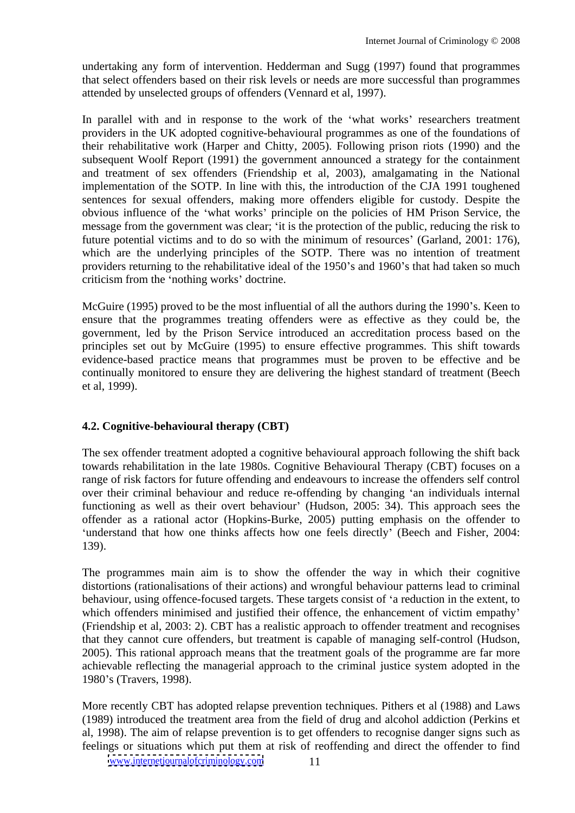undertaking any form of intervention. Hedderman and Sugg (1997) found that programmes that select offenders based on their risk levels or needs are more successful than programmes attended by unselected groups of offenders (Vennard et al, 1997).

In parallel with and in response to the work of the 'what works' researchers treatment providers in the UK adopted cognitive-behavioural programmes as one of the foundations of their rehabilitative work (Harper and Chitty, 2005). Following prison riots (1990) and the subsequent Woolf Report (1991) the government announced a strategy for the containment and treatment of sex offenders (Friendship et al, 2003), amalgamating in the National implementation of the SOTP. In line with this, the introduction of the CJA 1991 toughened sentences for sexual offenders, making more offenders eligible for custody. Despite the obvious influence of the 'what works' principle on the policies of HM Prison Service, the message from the government was clear; 'it is the protection of the public, reducing the risk to future potential victims and to do so with the minimum of resources' (Garland, 2001: 176), which are the underlying principles of the SOTP. There was no intention of treatment providers returning to the rehabilitative ideal of the 1950's and 1960's that had taken so much criticism from the 'nothing works' doctrine.

McGuire (1995) proved to be the most influential of all the authors during the 1990's. Keen to ensure that the programmes treating offenders were as effective as they could be, the government, led by the Prison Service introduced an accreditation processbased on the principles set out by McGuire (1995) to ensure effective programmes. This shift towards evidence-based practice means that programmes must be proven to be effective and be continually monitored to ensure they are delivering the highest standard of treatment (Beech et al, 1999).

# **4.2. Cognitive-behavioural therapy (CBT)**

The sex offender treatment adopted a cognitive behavioural approach following the shift back towards rehabilitation in the late 1980s. Cognitive Behavioural Therapy (CBT) focuses on a range of risk factors for future offending and endeavours to increase the offenders self control over their criminal behaviour and reduce re-offending by changing 'an individuals internal functioning as well as their overt behaviour' (Hudson, 2005: 34). This approach sees the offender as a rational actor (Hopkins-Burke, 2005) putting emphasis on the offender to 'understand that how one thinks affects how one feels directly' (Beech and Fisher, 2004: 139).

The programmes main aim is to show the offender the way in which their cognitive distortions (rationalisations of their actions) and wrongful behaviour patterns lead to criminal behaviour, using offence-focused targets. These targets consist of 'a reduction in the extent, to which offenders minimised and justified their offence, the enhancement of victim empathy' (Friendship et al, 2003: 2). CBT has a realistic approach to offender treatment and recognises that they cannot cure offenders, but treatment is capable of managing self-control (Hudson, 2005). This rational approach means that the treatment goals of the programme are far more achievable reflecting the managerial approach to the criminal justice system adopted in the 1980's (Travers, 1998).

More recently CBT has adopted relapse prevention techniques. Pithers et al (1988) and Laws (1989) introduced the treatment area from the field of drug and alcohol addiction (Perkins et al, 1998). The aim of relapse prevention is to get offenders to recognise danger signs such as feelings or situations which put them at risk of reoffending and direct the offender to find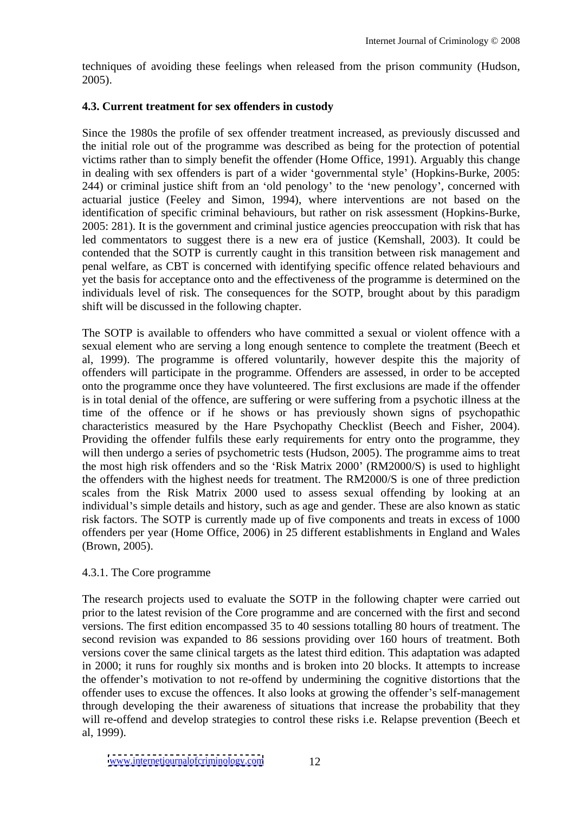techniques of avoiding these feelings when released from the prison community (Hudson, 2005).

#### **4.3. Current treatment for sex offenders in custody**

Since the 1980s the profile of sex offender treatment increased, as previously discussed and the initial role out of the programme was described as being for the protection of potential victims rather than to simply benefit the offender (Home Office, 1991). Arguably this change in dealing with sex offenders is part of a wider 'governmental style' (Hopkins-Burke, 2005: 244) or criminal justice shift from an 'old penology' to the 'new penology', concerned with actuarial justice (Feeley and Simon, 1994), where interventions are not based on the identification of specific criminal behaviours, but rather on risk assessment (Hopkins-Burke, 2005: 281). It is the government and criminal justice agencies preoccupation with risk that has led commentators to suggest there is a new era of justice (Kemshall, 2003). It could be contended that the SOTP is currently caught in this transition between risk management and penal welfare, as CBT is concerned with identifying specific offence related behaviours and yet the basis for acceptance onto and the effectiveness of the programme is determined on the individuals level of risk. The consequences for the SOTP, brought about by this paradigm shift will be discussed in the following chapter.

The SOTP is available to offenders who have committed a sexual or violent offence with a sexual element who are serving a long enough sentence to complete the treatment (Beech et al, 1999). The programme is offered voluntarily, however despite this the majority of offenders will participate in the programme. Offenders are assessed, in order to be accepted onto the programme once they have volunteered. The first exclusions are made if the offender is in total denial of the offence, are suffering or were suffering from a psychotic illness at the time of the offence or if he shows or has previously shown signs of psychopathic characteristics measured by the Hare Psychopathy Checklist (Beech and Fisher, 2004). Providing the offender fulfils these early requirements for entry onto the programme, they will then undergo a series of psychometric tests (Hudson, 2005). The programme aims to treat the most high risk offenders and so the 'Risk Matrix 2000' (RM2000/S) is used to highlight the offenders with the highest needs for treatment. The RM2000/S is one of three prediction scales from the Risk Matrix 2000 used to assess sexual offending by looking at an individual's simple details and history, such as age and gender. These are also known as static risk factors. The SOTP is currently made up of five components and treats in excess of 1000 offenders per year (Home Office, 2006) in 25 different establishments in England and Wales (Brown, 2005).

#### 4.3.1. The Core programme

The research projects used to evaluate the SOTP in the following chapter were carried out prior to the latest revision of the Core programme and are concerned with the first and second versions. The first edition encompassed 35 to 40 sessions totalling 80 hours of treatment. The second revision was expanded to 86 sessions providing over 160 hours of treatment. Both versions cover the same clinical targets as the latest third edition. This adaptation was adapted in 2000; it runs for roughly six months and is broken into 20 blocks. It attempts to increase the offender's motivation to not re-offend by undermining the cognitive distortions that the offender uses to excuse the offences. It also looks at growing the offender's self-management through developing the their awareness of situations that increase the probability that they will re-offend and develop strategies to control these risks i.e. Relapse prevention (Beech et al, 1999).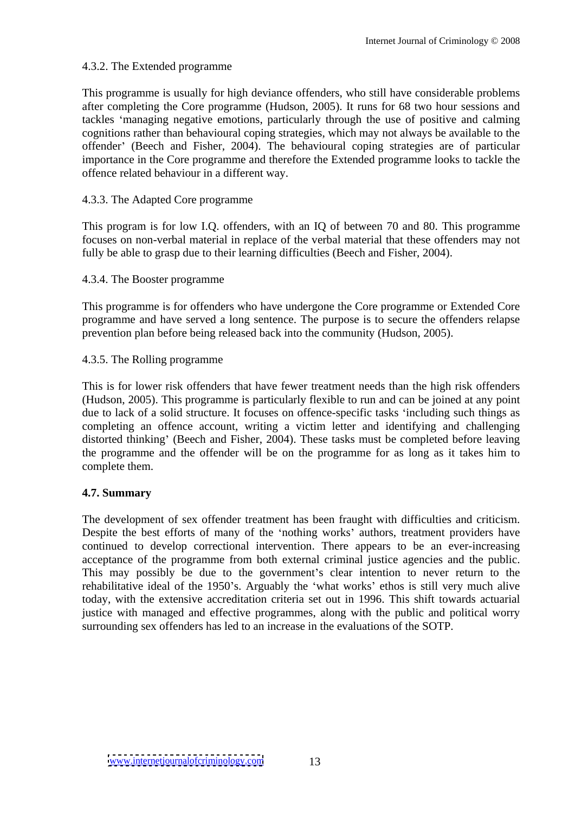#### 4.3.2. The Extended programme

This programme is usually for high deviance offenders, who still have considerable problems after completing the Core programme (Hudson, 2005). It runsfor 68 two hour sessions and tackles 'managing negative emotions, particularly through the use of positive and calming cognitions rather than behavioural coping strategies, which may not always be available to the offender' (Beech and Fisher, 2004). The behavioural coping strategies are of particular importance in the Core programme and therefore the Extended programme looks to tackle the offence related behaviour in a different way.

#### 4.3.3. The Adapted Core programme

This program is for low I.Q. offenders, with an IQ of between 70 and 80. This programme focuses on non-verbal material in replace of the verbal material that these offenders may not fully be able to grasp due to their learning difficulties (Beech and Fisher, 2004).

#### 4.3.4. The Booster programme

This programme is for offenders who have undergone the Core programme or Extended Core programme and have served a long sentence. The purpose is to secure the offenders relapse prevention plan before being released back into the community (Hudson, 2005).

#### 4.3.5. The Rolling programme

This is for lower risk offenders that have fewer treatment needs than the high risk offenders (Hudson, 2005). This programme is particularly flexible to run and can be joined at any point due to lack of a solid structure. It focuses on offence-specific tasks 'including such things as completing an offence account, writing a victim letter and identifying and challenging distorted thinking' (Beech and Fisher, 2004). These tasks must be completed before leaving the programme and the offender will be on the programme for as long as it takes him to complete them.

#### **4.7. Summary**

The development of sex offender treatment has been fraught with difficulties and criticism. Despite the best efforts of many of the 'nothing works' authors, treatment providers have continued to develop correctional intervention. There appears to be an ever-increasing acceptance of the programme from both external criminal justice agencies and the public. This may possibly be due to the government's clear intention to never return to the rehabilitative ideal of the 1950's. Arguably the 'what works' ethos is still very much alive today, with the extensive accreditation criteria set out in 1996. This shift towards actuarial justice with managed and effective programmes, along with the public and political worry surrounding sex offenders has led to an increase in the evaluations of the SOTP.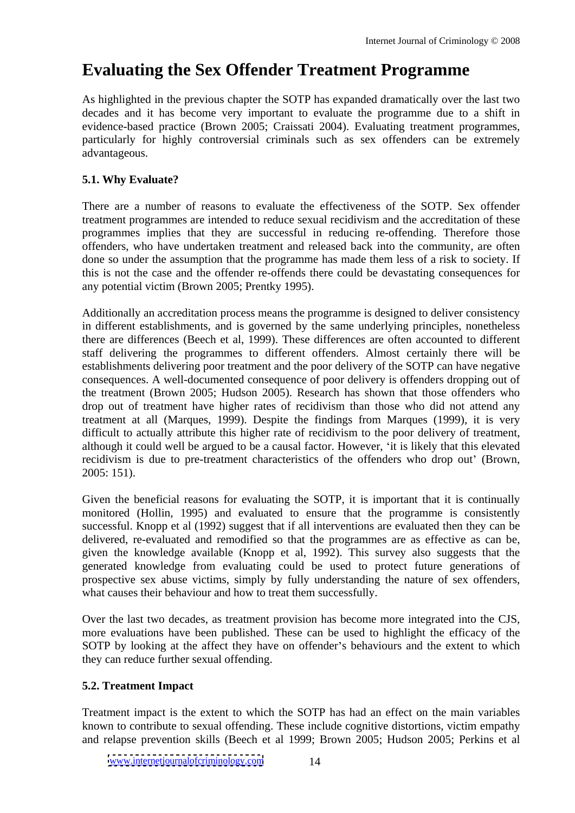# **Evaluating the Sex Offender Treatment Programme**

As highlighted in the previous chapter the SOTP has expanded dramatically over the last two decades and it has become very important to evaluate the programme due to a shift in evidence-based practice (Brown 2005; Craissati 2004). Evaluating treatment programmes, particularly for highly controversial criminals such as sex offenders can be extremely advantageous.

# **5.1. Why Evaluate?**

There are a number of reasons to evaluate the effectiveness of the SOTP. Sex offender treatment programmes are intended to reduce sexual recidivism and the accreditation of these programmes implies that they are successful in reducing re-offending. Therefore those offenders, who have undertaken treatment and released back into the community, are often done so under the assumption that the programme has made them less of a risk to society. If this is not the case and the offender re-offends there could be devastating consequences for any potential victim (Brown 2005; Prentky 1995).

Additionally an accreditation process means the programme is designed to deliver consistency in different establishments, and is governed by the same underlying principles, nonetheless there are differences (Beech et al, 1999). These differences are often accounted to different staff delivering the programmes to different offenders. Almost certainly there will be establishments delivering poor treatment and the poor delivery of the SOTP can have negative consequences. A well-documented consequence of poor delivery is offenders dropping out of the treatment (Brown 2005; Hudson 2005). Research has shown that those offenders who drop out of treatment have higher rates of recidivism than those who did not attend any treatment at all (Marques, 1999). Despite the findings from Marques (1999), it is very difficult to actually attribute this higher rate of recidivism to the poor delivery of treatment, although it could well be argued to be a causal factor. However, 'it is likely that this elevated recidivism is due to pre-treatment characteristics of the offenders who drop out' (Brown, 2005: 151).

Given the beneficial reasons for evaluating the SOTP, it is important that it is continually monitored (Hollin, 1995) and evaluated to ensure that the programme is consistently successful. Knopp et al (1992) suggest that if all interventions are evaluated then they can be delivered, re-evaluated and remodified so that the programmes are as effective as can be, given the knowledge available (Knopp et al, 1992). This survey also suggests that the generated knowledge from evaluating could be used to protect future generations of prospective sex abuse victims, simply by fully understanding the nature of sex offenders, what causes their behaviour and how to treat them successfully.

Over the last two decades, as treatment provision has become more integrated into the CJS, more evaluations have been published. These can be used to highlight the efficacy of the SOTP by looking at the affect they have on offender's behaviours and the extent to which they can reduce further sexual offending.

# **5.2. Treatment Impact**

Treatment impact is the extent to which the SOTP has had an effect on the main variables known to contribute to sexual offending. These include cognitive distortions, victim empathy and relapse prevention skills (Beech et al 1999; Brown 2005; Hudson 2005; Perkins et al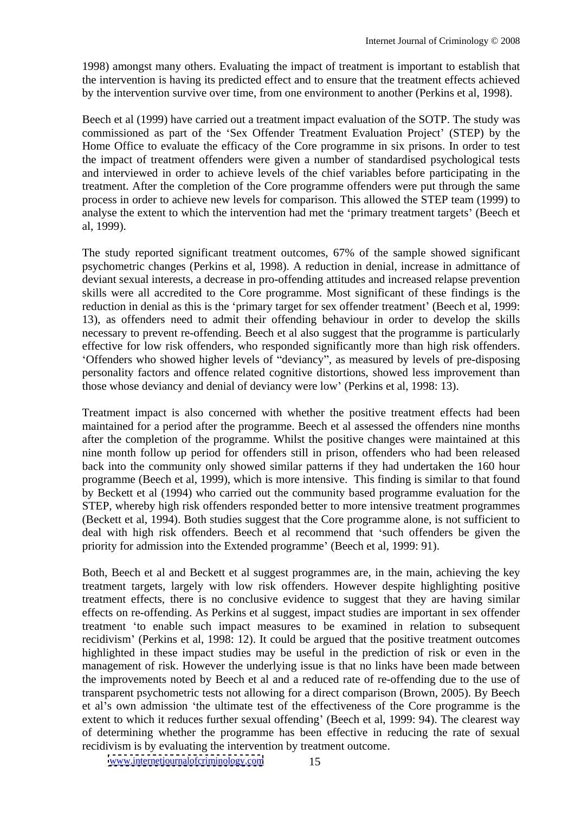1998) amongst many others. Evaluating the impact of treatment is important to establish that the intervention is having its predicted effect and to ensure that the treatment effects achieved by the intervention survive over time, from one environment to another (Perkins et al, 1998).

Beech et al (1999) have carried out a treatment impact evaluation of the SOTP. The study was commissioned as part of the 'Sex Offender Treatment Evaluation Project' (STEP) by the Home Office to evaluate the efficacy of the Core programme in six prisons. In order to test the impact of treatment offenders were given a number of standardised psychological tests and interviewed in order to achieve levels of the chief variables before participating in the treatment. After the completion of the Core programme offenders were put through the same process in order to achieve new levels for comparison. This allowed the STEP team (1999) to analyse the extent to which the intervention had met the 'primary treatment targets' (Beech et al, 1999).

The study reported significant treatment outcomes, 67% of the sample showed significant psychometric changes (Perkins et al, 1998). A reduction in denial, increase in admittance of deviant sexual interests, a decrease in pro-offending attitudes and increased relapse prevention skills were all accredited to the Core programme. Most significant of these findings is the reduction in denial as this is the 'primary target for sex offender treatment' (Beech et al, 1999: 13), as offenders need to admit their offending behaviour in order to develop the skills necessary to prevent re-offending. Beech et al also suggest that the programme is particularly effective for low risk offenders, who responded significantly more than high risk offenders. 'Offenders who showed higher levels of "deviancy", as measured by levels of pre-disposing personality factors and offence related cognitive distortions, showed less improvement than those whose deviancy and denial of deviancy were low (Perkins et al, 1998: 13).

Treatment impact is also concerned with whether the positive treatment effects had been maintained for a period after the programme. Beech et al assessed the offenders nine months after the completion of the programme. Whilst the positive changes were maintained at this nine month follow up period for offenders still in prison, offenders who had been released back into the community only showed similar patterns if they had undertaken the 160 hour programme (Beech et al, 1999), which is more intensive. This finding is similar to that found by Beckett et al (1994) who carried out the community based programme evaluation for the STEP, whereby high risk offenders responded better to more intensive treatment programmes (Beckett et al, 1994). Both studies suggest that the Core programme alone, is not sufficient to deal with high risk offenders. Beech et al recommend that 'such offenders be given the priority for admission into the Extended programme' (Beech et al, 1999: 91).

Both, Beech et al and Beckett et al suggest programmes are, in the main, achieving the key treatment targets, largely with low risk offenders. However despite highlighting positive treatment effects, there is no conclusive evidence to suggest that they are having similar effects on re-offending. As Perkins et al suggest, impact studies are important in sex offender treatment to enable such impact measures to be examined in relation to subsequent recidivism' (Perkins et al, 1998: 12). It could be argued that the positive treatment outcomes highlighted in these impact studies may be useful in the prediction of risk or even in the management of risk. However the underlying issue is that no links have been made between the improvements noted by Beech et al and a reduced rate of re-offending due to the use of transparent psychometric tests not allowing for a direct comparison (Brown, 2005). By Beech et al's own admission 'the ultimate test of the effectiveness of the Core programme is the extent to which it reduces further sexual offending' (Beech et al, 1999: 94). The clearest way of determining whether the programme has been effective in reducing the rate of sexual recidivism is by evaluating the intervention by treatment outcome.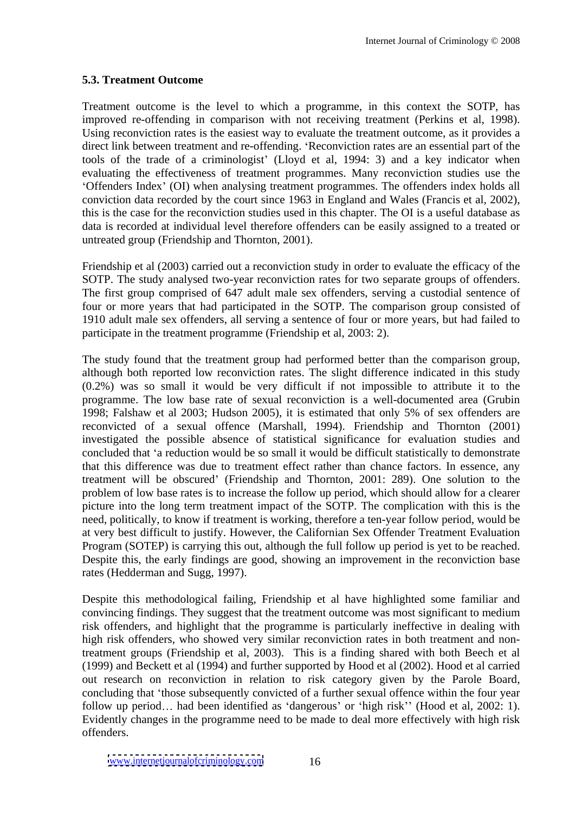### **5.3. Treatment Outcome**

Treatment outcome is the level to which a programme, in this context the SOTP, has improved re-offending in comparison with not receiving treatment (Perkins et al, 1998). Using reconviction rates is the easiest way to evaluate the treatment outcome, as it provides a direct link between treatment and re-offending. 'Reconviction rates are an essential part of the tools of the trade of a criminologist' (Lloyd et al, 1994: 3) and a key indicator when evaluating the effectiveness of treatment programmes. Many reconviction studies use the Offenders Index (OI) when analysing treatment programmes. The offenders index holds all conviction data recorded by the court since 1963 in England and Wales (Francis et al, 2002), this is the case for the reconviction studies used in this chapter. The OI is a useful database as data is recorded at individual level therefore offenders can be easily assigned to a treated or untreated group (Friendship and Thornton, 2001).

Friendship et al (2003) carried out a reconviction study in order to evaluate the efficacy of the SOTP. The study analysed two-year reconviction rates for two separate groups of offenders. The first group comprised of 647 adult male sex offenders, serving a custodial sentence of four or more years that had participated in the SOTP. The comparison group consisted of 1910 adult male sex offenders, all serving a sentence of four or more years, but had failed to participate in the treatment programme (Friendship et al, 2003: 2).

The study found that the treatment group had performed better than the comparison group, although both reported low reconviction rates. The slight difference indicated in this study (0.2%) was so small it would be very difficult if not impossible to attribute it to the programme. The low base rate of sexual reconviction is a well-documented area (Grubin 1998; Falshaw et al 2003; Hudson 2005), it is estimated that only 5% of sex offenders are reconvicted of a sexual offence (Marshall, 1994). Friendship and Thornton (2001) investigated the possible absence of statistical significance for evaluation studies and concluded that 'a reduction would be so small it would be difficult statistically to demonstrate that this difference was due to treatment effect rather than chance factors. In essence, any treatment will be obscured' (Friendship and Thornton, 2001: 289). One solution to the problem of low base rates is to increase the follow up period, which should allow for a clearer picture into the long term treatment impact of the SOTP. The complication with this is the need, politically, to know if treatment is working, therefore a ten-year follow period, would be at very best difficult to justify. However, the Californian Sex Offender Treatment Evaluation Program (SOTEP) is carrying this out, although the full follow up period is yet to be reached. Despite this, the early findings are good, showing an improvement in the reconviction base rates (Hedderman and Sugg, 1997).

Despite this methodological failing, Friendship et al have highlighted some familiar and convincing findings. They suggest that the treatment outcome was most significant to medium risk offenders, and highlight that the programme is particularly ineffective in dealing with high risk offenders, who showed very similar reconviction rates in both treatment and nontreatment groups (Friendship et al, 2003). This is a finding shared with both Beech et al (1999) and Beckett et al (1994) and further supported by Hood et al (2002). Hood et al carried out research on reconviction in relation to risk category given by the Parole Board, concluding that 'those subsequently convicted of a further sexual offence within the four year follow up period... had been identified as 'dangerous' or 'high risk'' (Hood et al, 2002: 1). Evidently changes in the programme need to be made to deal more effectively with high risk offenders.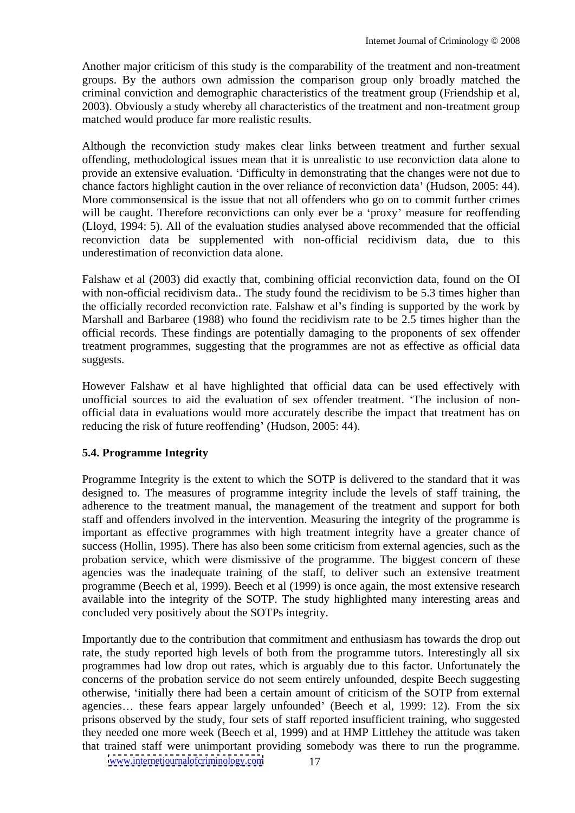Another major criticism of this study is the comparability of the treatment and non-treatment groups. By the authors own admission the comparison group only broadly matched the criminal conviction and demographic characteristics of the treatment group (Friendship et al, 2003). Obviously a study whereby all characteristics of the treatment and non-treatment group matched would produce far more realistic results.

Although the reconviction study makes clear links between treatment and further sexual offending, methodological issues mean that it is unrealistic to use reconviction data alone to provide an extensive evaluation. Difficulty in demonstrating that the changes were not due to chance factors highlight caution in the over reliance of reconviction data' (Hudson, 2005: 44). More commonsensical is the issue that not all offenders who go on to commit further crimes will be caught. Therefore reconvictions can only ever be a 'proxy' measure for reoffending (Lloyd, 1994: 5). All of the evaluation studies analysed above recommended that the official reconviction data be supplemented with non-official recidivism data, due to this underestimation of reconviction data alone.

Falshaw et al (2003) did exactly that, combining official reconviction data, found on the OI with non-official recidivism data.. The study found the recidivism to be 5.3 times higher than the officially recorded reconviction rate. Falshaw et al's finding is supported by the work by Marshall and Barbaree (1988) who found the recidivism rate to be 2.5 times higher than the official records. These findings are potentially damaging to the proponents of sex offender treatment programmes, suggesting that the programmes are not as effective as official data suggests.

However Falshaw et al have highlighted that official data can be used effectively with unofficial sources to aid the evaluation of sex offender treatment. The inclusion of non official data in evaluations would more accurately describe the impact that treatment has on reducing the risk of future reoffending' (Hudson, 2005: 44).

#### **5.4. Programme Integrity**

Programme Integrity is the extent to which the SOTP is delivered to the standard that it was designed to. The measures of programme integrity include the levels of staff training, the adherence to the treatment manual, the management of the treatment and support for both staff and offenders involved in the intervention. Measuring the integrity of the programme is important as effective programmes with high treatment integrity have a greater chance of success (Hollin, 1995). There has also been some criticism from external agencies, such as the probation service, which were dismissive of the programme. The biggest concern of these agencies was the inadequate training of the staff, to deliver such an extensive treatment programme (Beech et al, 1999). Beech et al (1999) is once again, the most extensive research available into the integrity of the SOTP. The study highlighted many interesting areas and concluded very positively about the SOTPs integrity.

Importantly due to the contribution that commitment and enthusiasm has towards the drop out rate, the study reported high levels of both from the programme tutors. Interestingly all six programmes had low drop out rates, which is arguably due to this factor. Unfortunately the concerns of the probation service do not seem entirely unfounded, despite Beech suggesting otherwise, initially there had been a certain amount of criticism of the SOTP from external agencies... these fears appear largely unfounded' (Beech et al, 1999: 12). From the six prisons observed by the study, four sets of staff reported insufficient training, who suggested they needed one more week (Beech et al, 1999) and at HMP Littlehey the attitude was taken that trained staff were unimportant providing somebody was there to run the programme.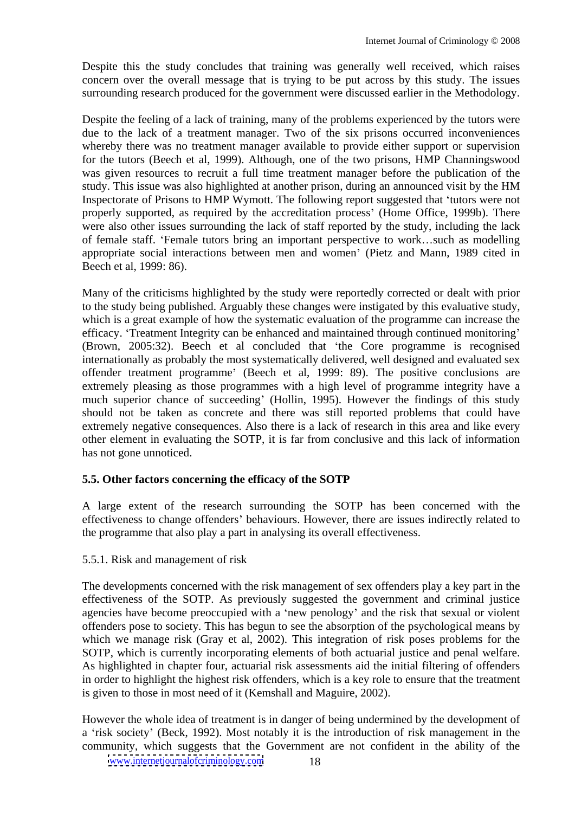Despite this the study concludes that training was generally well received, which raises concern over the overall message that is trying to be put across by this study. The issues surrounding research produced for the government were discussed earlier in the Methodology.

Despite the feeling of a lack of training, many of the problems experienced by the tutors were due to the lack of a treatment manager. Two of the six prisons occurred inconveniences whereby there was no treatment manager available to provide either support or supervision for the tutors (Beech et al, 1999). Although, one of the two prisons, HMP Channingswood was given resources to recruit a full time treatment manager before the publication of the study. This issue was also highlighted at another prison, during an announced visit by the HM Inspectorate of Prisons to HMP Wymott. The following report suggested that 'tutors were not properly supported, as required by the accreditation process' (Home Office, 1999b). There were also other issues surrounding the lack of staff reported by the study, including the lack of female staff. 'Female tutors bring an important perspective to work...such as modelling appropriate social interactions between men and women' (Pietz and Mann, 1989 cited in Beech et al, 1999: 86).

Many of the criticisms highlighted by the study were reportedly corrected or dealt with prior to the study being published. Arguably these changes were instigated by this evaluative study, which is a great example of how the systematic evaluation of the programme can increase the efficacy. 'Treatment Integrity can be enhanced and maintained through continued monitoring' (Brown, 2005:32). Beech et al concluded that 'the Core programme is recognised internationally as probably the most systematically delivered, well designed and evaluated sex offender treatment programme' (Beech et al, 1999: 89). The positive conclusions are extremely pleasing as those programmes with a high level of programme integrity have a much superior chance of succeeding' (Hollin, 1995). However the findings of this study should not be taken as concrete and there was still reported problems that could have extremely negative consequences. Also there is a lack of research in this area and like every other element in evaluating the SOTP, it is far from conclusive and this lack of information has not gone unnoticed.

# **5.5. Other factors concerning the efficacy of the SOTP**

A large extent of the research surrounding the SOTP has been concerned with the effectiveness to change offenders' behaviours. However, there are issues indirectly related to the programme that also play a part in analysing its overall effectiveness.

# 5.5.1. Risk and management of risk

The developments concerned with the risk management of sex offenders play a key part in the effectiveness of the SOTP. As previously suggested the government and criminal justice agencies have become preoccupied with a 'new penology' and the risk that sexual or violent offenders pose to society. This has begun to see the absorption of the psychological means by which we manage risk (Gray et al, 2002). This integration of risk poses problems for the SOTP, which is currently incorporating elements of both actuarial justice and penal welfare. As highlighted in chapter four, actuarial risk assessments aid the initial filtering of offenders in order to highlight the highest risk offenders, which is a key role to ensure that the treatment is given to those in most need of it (Kemshall and Maguire, 2002).

However the whole idea of treatment is in danger of being undermined by the development of a 'risk society' (Beck, 1992). Most notably it is the introduction of risk management in the community, which suggests that the Government are not confident in the ability of the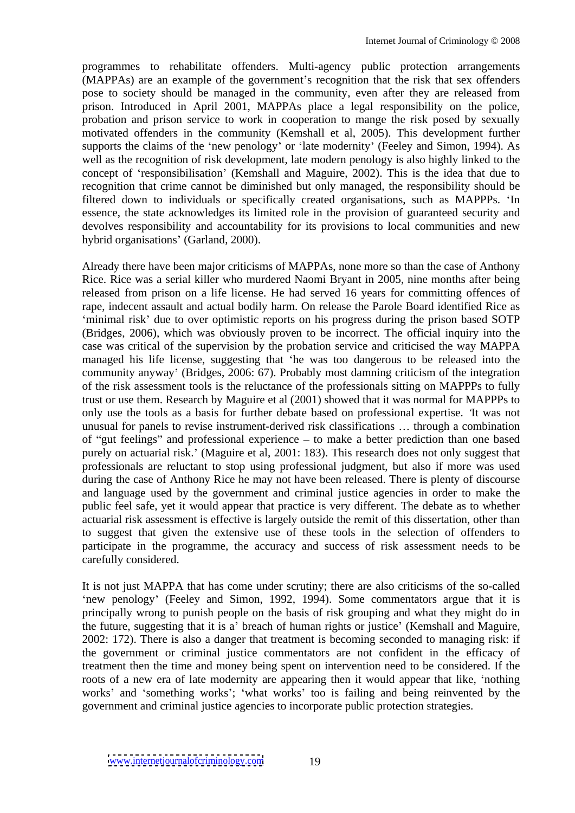programmes to rehabilitate offenders. Multi-agency public protection arrangements (MAPPAs) are an example of the government's recognition that the risk that sex offenders pose to society should be managed in the community, even after they are released from prison. Introduced in April 2001, MAPPAs place a legal responsibility on the police, probation and prison service to work in cooperation to mange the risk posed by sexually motivated offenders in the community (Kemshall et al, 2005). This development further supports the claims of the 'new penology' or 'late modernity' (Feeley and Simon, 1994). As well as the recognition of risk development, late modern penology is also highly linked to the concept of 'responsibilisation' (Kemshall and Maguire, 2002). This is the idea that due to recognition that crime cannot be diminished but only managed, the responsibility should be filtered down to individuals or specifically created organisations, such as MAPPPs. 'In essence, the state acknowledges its limited role in the provision of guaranteed security and devolves responsibility and accountability for its provisions to local communities and new hybrid organisations' (Garland, 2000).

Already there have been major criticisms of MAPPAs, none more so than the case of Anthony Rice. Rice was a serial killer who murdered Naomi Bryant in 2005, nine months after being released from prison on a life license. He had served 16 years for committing offences of rape, indecent assault and actual bodily harm. On release the Parole Board identified Rice as 'minimal risk' due to over optimistic reports on his progress during the prison based SOTP (Bridges, 2006), which was obviously proven to be incorrect. The official inquiry into the case was critical of the supervision by the probation service and criticised the way MAPPA managed his life license, suggesting that 'he was too dangerous to be released into the community anyway' (Bridges, 2006: 67). Probably most damning criticism of the integration of the risk assessment tools is the reluctance of the professionals sitting on MAPPPs to fully trust or use them. Research by Maguire et al (2001) showed that it was normal for MAPPPs to only use the tools as a basis for further debate based on professional expertise. It was not unusual for panels to revise instrument-derived risk classifications ... through a combination of "gut feelings" and professional experience  $-$  to make a better prediction than one based purely on actuarial risk.' (Maguire et al, 2001: 183). This research does not only suggest that professionals are reluctant to stop using professional judgment, but also if more was used during the case of Anthony Rice he may not have been released. There is plenty of discourse and language used by the government and criminal justice agencies in order to make the public feel safe, yet it would appear that practice is very different. The debate as to whether actuarial risk assessment is effective is largely outside the remit of this dissertation, other than to suggest that given the extensive use of these tools in the selection of offenders to participate in the programme, the accuracy and success of risk assessment needs to be carefully considered.

It is not just MAPPA that has come under scrutiny; there are also criticisms of the so-called 'new penology' (Feeley and Simon, 1992, 1994). Some commentators argue that it is principally wrong to punish people on the basis of risk grouping and what they might do in the future, suggesting that it is a' breach of human rights or justice' (Kemshall and Maguire, 2002: 172). There is also a danger that treatment is becoming seconded to managing risk: if the government or criminal justice commentators are not confident in the efficacy of treatment then the time and money being spent on intervention need to be considered. If the roots of a new era of late modernity are appearing then it would appear that like, 'nothing works' and 'something works'; 'what works' too is failing and being reinvented by the government and criminal justice agencies to incorporate public protection strategies.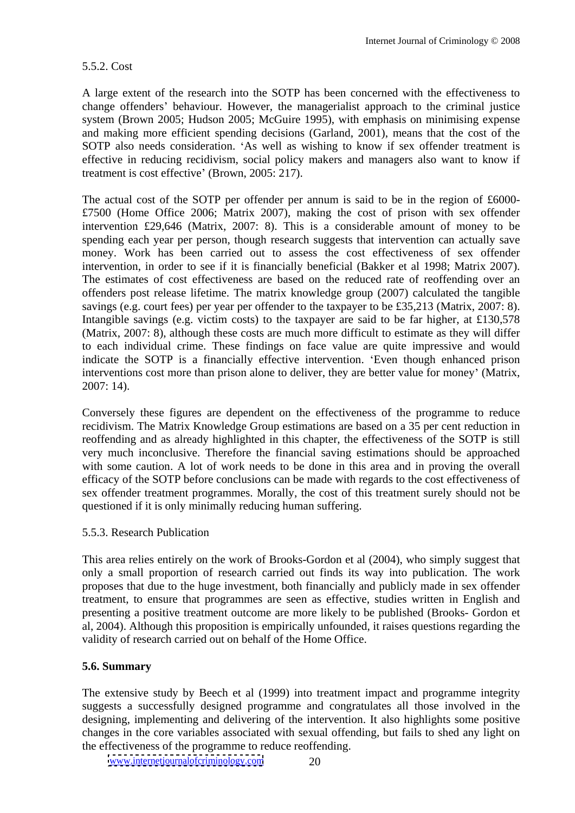#### 5.5.2. Cost

A large extent of the research into the SOTP has been concerned with the effectiveness to change offenders' behaviour. However, the managerialist approach to the criminal justice system (Brown 2005; Hudson 2005; McGuire 1995), with emphasis on minimising expense and making more efficient spending decisions (Garland, 2001), means that the cost of the SOTP also needs consideration. 'As well as wishing to know if sex offender treatment is effective in reducing recidivism, social policy makers and managers also want to know if treatment is cost effective' (Brown, 2005: 217).

The actual cost of the SOTP per offender per annum is said to be in the region of £6000-£7500 (Home Office 2006; Matrix 2007), making the cost of prison with sex offender intervention £29,646 (Matrix, 2007: 8). This is a considerable amount of money to be spending each year per person, though research suggests that intervention can actually save money. Work has been carried out to assess the cost effectiveness of sex offender intervention, in order to see if it is financially beneficial (Bakker et al 1998; Matrix 2007). The estimates of cost effectiveness are based on the reduced rate of reoffending over an offenders post release lifetime. The matrix knowledge group (2007) calculated the tangible savings (e.g. court fees) per year per offender to the taxpayer to be £35,213 (Matrix, 2007: 8). Intangible savings (e.g. victim costs) to the taxpayer are said to be far higher, at £130,578 (Matrix, 2007: 8), although these costs are much more difficult to estimate as they will differ to each individual crime. These findings on face value are quite impressive and would indicate the SOTP is a financially effective intervention. Even though enhanced prison interventions cost more than prison alone to deliver, they are better value for money' (Matrix, 2007: 14).

Conversely these figures are dependent on the effectiveness of the programme to reduce recidivism. The Matrix Knowledge Group estimations are based on a 35 per cent reduction in reoffending and as already highlighted in this chapter, the effectiveness of the SOTP is still very much inconclusive. Therefore the financial saving estimations should be approached with some caution. A lot of work needs to be done in this area and in proving the overall efficacy of the SOTP before conclusions can be made with regards to the cost effectiveness of sex offender treatment programmes. Morally, the cost of this treatment surely should not be questioned if it is only minimally reducing human suffering.

#### 5.5.3. Research Publication

This area relies entirely on the work of Brooks-Gordon et al (2004), who simply suggest that only a small proportion of research carried out finds its way into publication. The work proposes that due to the huge investment, both financially and publicly made in sex offender treatment, to ensure that programmes are seen as effective, studies written in English and presenting a positive treatment outcome are more likely to be published (Brooks- Gordon et al, 2004). Although this proposition is empirically unfounded, it raises questions regarding the validity of research carried out on behalf of the Home Office.

#### **5.6. Summary**

The extensive study by Beech et al (1999) into treatment impact and programme integrity suggests a successfully designed programme and congratulates all those involved in the designing, implementing and delivering of the intervention. It also highlights some positive changes in the core variables associated with sexual offending, but fails to shed any light on the effectiveness of the programme to reduce reoffending.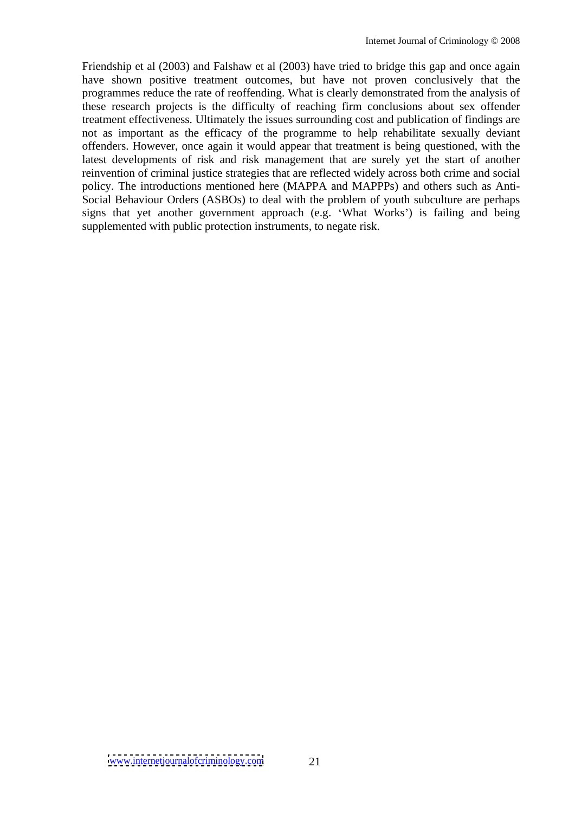Friendship et al (2003) and Falshaw et al (2003) have tried to bridge this gap and once again have shown positive treatment outcomes, but have not proven conclusively that the programmes reduce the rate of reoffending. What is clearly demonstrated from the analysis of these research projects is the difficulty of reaching firm conclusions about sex offender treatment effectiveness. Ultimately the issues surrounding cost and publication of findings are not as important as the efficacy of the programme to help rehabilitate sexually deviant offenders. However, once again it would appear that treatment is being questioned, with the latest developments of risk and risk management that are surely yet the start of another reinvention of criminal justice strategies that are reflected widely across both crime and social policy. The introductions mentioned here (MAPPA and MAPPPs) and others such as Anti- Social Behaviour Orders (ASBOs) to deal with the problem of youth subculture are perhaps signs that yet another government approach (e.g. 'What Works') is failing and being supplemented with public protection instruments, to negate risk.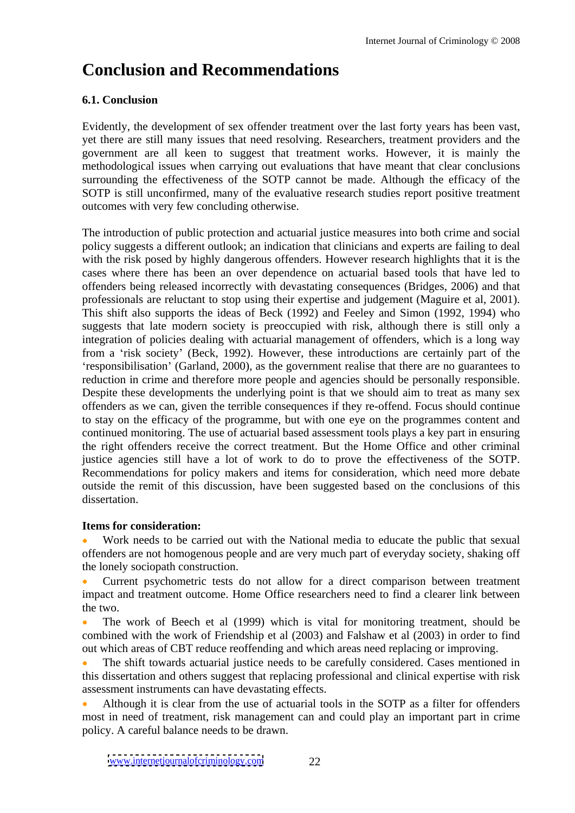# **Conclusion and Recommendations**

# **6.1. Conclusion**

Evidently, the development of sex offender treatment over the last forty years has been vast, yet there are still many issues that need resolving. Researchers, treatment providers and the government are all keen to suggest that treatment works. However, it is mainly the methodological issues when carrying out evaluations that have meant that clear conclusions surrounding the effectiveness of the SOTP cannot be made. Although the efficacy of the SOTP is still unconfirmed, many of the evaluative research studies report positive treatment outcomes with very few concluding otherwise.

The introduction of public protection and actuarial justice measures into both crime and social policy suggests a different outlook; an indication that clinicians and experts are failing to deal with the risk posed by highly dangerous offenders. However research highlights that it is the cases where there has been an over dependence on actuarial based tools that have led to offenders being released incorrectly with devastating consequences (Bridges, 2006) and that professionals are reluctant to stop using their expertise and judgement (Maguire et al, 2001). This shift also supports the ideas of Beck (1992) and Feeley and Simon (1992, 1994) who suggests that late modern society is preoccupied with risk, although there is still only a integration of policies dealing with actuarial management of offenders, which is a long way from a 'risk society' (Beck, 1992). However, these introductions are certainly part of the responsibilisation' (Garland, 2000), as the government realise that there are no guarantees to reduction in crime and therefore more people and agencies should be personally responsible. Despite these developments the underlying point is that we should aim to treat as many sex offenders as we can, given the terrible consequences if they re-offend. Focus should continue to stay on the efficacy of the programme, but with one eye on the programmes content and continued monitoring. The use of actuarial based assessment tools plays a key part in ensuring the right offenders receive the correct treatment. But the Home Office and other criminal justice agencies still have a lot of work to do to prove the effectiveness of the SOTP. Recommendations for policy makers and items for consideration, which need more debate outside the remit of this discussion, have been suggested based on the conclusions of this dissertation.

#### **Items for consideration:**

Work needs to be carried out with the National media to educate the public that sexual offenders are not homogenous people and are very much part of everyday society, shaking off the lonely sociopath construction.

Current psychometric tests do not allow for a direct comparison between treatment impact and treatment outcome. Home Office researchers need to find a clearer link between the two.

The work of Beech et al (1999) which is vital for monitoring treatment, should be combined with the work of Friendship et al (2003) and Falshaw et al (2003) in order to find out which areas of CBT reduce reoffending and which areas need replacing or improving.

The shift towards actuarial justice needs to be carefully considered. Cases mentioned in this dissertation and others suggest that replacing professional and clinical expertise with risk assessment instruments can have devastating effects.

Although it is clear from the use of actuarial tools in the SOTP as a filter for offenders most in need of treatment, risk management can and could play an important part in crime policy. A careful balance needs to be drawn.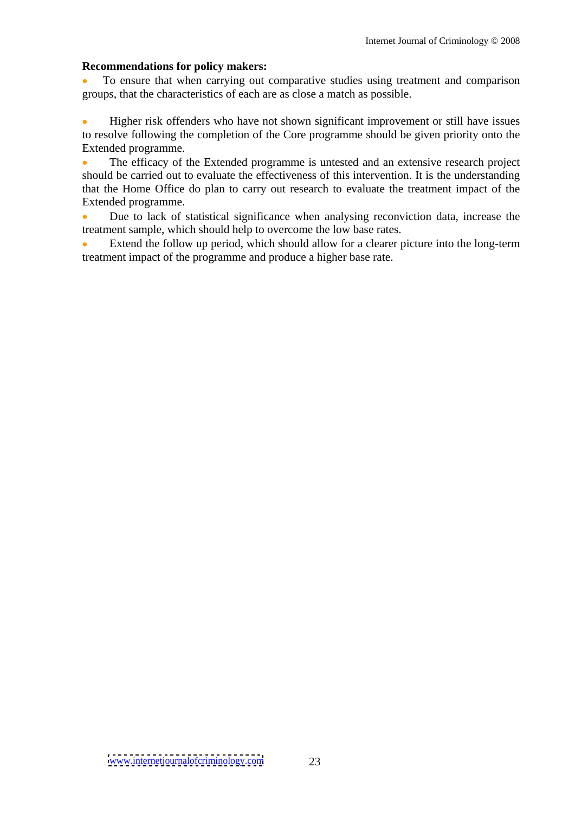#### **Recommendations for policy makers:**

To ensure that when carrying out comparative studies using treatment and comparison groups, that the characteristics of each are as close a match as possible.

Higher risk offenders who have not shown significant improvement or still have issues to resolve following the completion of the Core programme should be given priority onto the Extended programme.

The efficacy of the Extended programme is untested and an extensive research project should be carried out to evaluate the effectiveness of this intervention. It is the understanding that the Home Office do plan to carry out research to evaluate the treatment impact of the Extended programme.

Due to lack of statistical significance when analysing reconviction data, increase the treatment sample, which should help to overcome the low base rates.

Extend the follow up period, which should allow for a clearer picture into the long-term treatment impact of the programme and produce a higher base rate.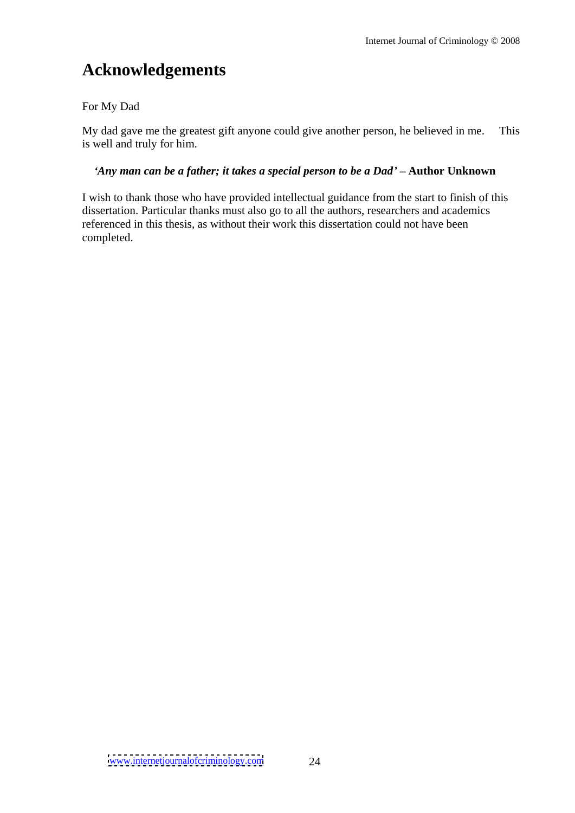# **Acknowledgements**

### For My Dad

My dad gave me the greatest gift anyone could give another person, he believed in me. This is well and truly for him.

### *Any man can be a father; it takes a special person to bea Dad* **Author Unknown**

I wish to thank those who have provided intellectual guidance from the start to finish of this dissertation. Particular thanks must also go to all the authors, researchers and academics referenced in this thesis, as without their work this dissertation could not have been completed.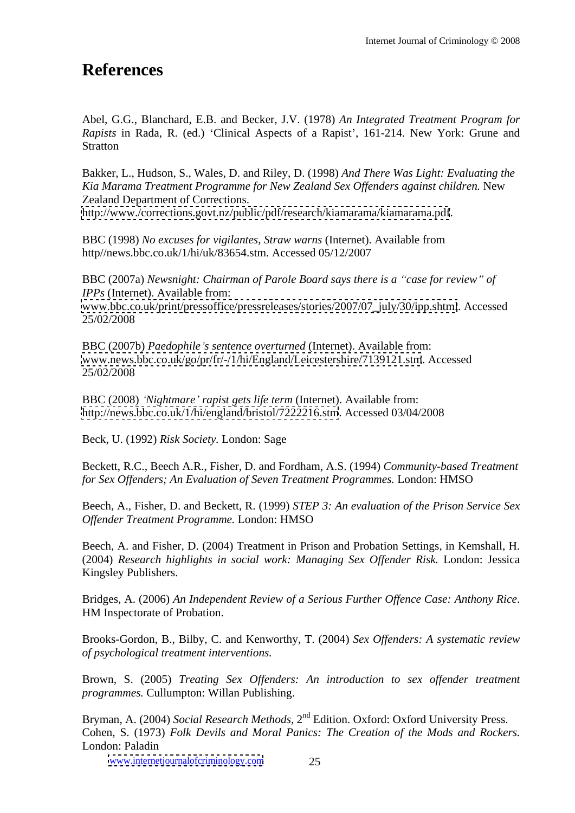# **References**

Abel, G.G., Blanchard, E.B. and Becker, J.V. (1978) *An Integrated Treatment Program for Rapists* in Rada, R. (ed.) 'Clinical Aspects of a Rapist', 161-214. New York: Grune and Stratton **Stratton** 

Bakker, L., Hudson, S., Wales, D. and Riley, D. (1998) *And There Was Light: Evaluating the Kia Marama Treatment Programme for New Zealand Sex Of enders against children.* New Zealand Department of Corrections. <http://www./corrections.govt.nz/public/pdf/research/kiamarama/kiamarama.pdf>.

BBC (1998) *No excuses for vigilantes, Straw warns* (Internet). Available from http//news.bbc.co.uk/1/hi/uk/83654.stm. Accessed 05/12/2007

BBC (2007a) *Newsnight: Chairman of Parole Board says there is a case for review of IPPs* (Internet). Available from: [www.bbc.co.uk/print/pressoffice/pressreleases/stories/2007/07\\_july/30/ipp.shtml](http://www.bbc.co.uk/print/pressoffice/pressreleases/stories/2007/07_july/30/ipp.shtml). Accessed 25/02/2008

BBC (2007b) *Paedophile s sentence overturned* (Internet). Available from: [www.news.bbc.co.uk/go/pr/fr/-/1/hi/England/Leicestershire/7139121.stm](http://www.news.bbc.co.uk/go/pr/fr/-/1/hi/England/Leicestershire/7139121.stm). Accessed 25/02/2008

BBC (2008) *Nightmare rapist gets life term* (Internet). Available from: <http://news.bbc.co.uk/1/hi/england/bristol/7222216.stm>. Accessed 03/04/2008

Beck, U. (1992) *Risk Society.* London: Sage

Beckett, R.C., Beech A.R., Fisher, D. and Fordham, A.S. (1994) *Community-based Treatment for Sex Of enders; An Evaluation of Seven Treatment Programmes.* London: HMSO

Beech, A., Fisher, D. and Beckett, R. (1999) *STEP 3: An evaluation of the Prison Service Sex Of ender Treatment Programme.* London: HMSO

Beech, A. and Fisher, D. (2004) Treatment in Prison and Probation Settings, in Kemshall, H. (2004) *Research highlights in social work: Managing Sex Of ender Risk.* London: Jessica Kingsley Publishers.

Bridges, A. (2006) *An Independent Review of a Serious Further Of ence Case: Anthony Rice*. HM Inspectorate of Probation.

Brooks-Gordon, B., Bilby, C. and Kenworthy, T. (2004) *Sex Of enders: A systematic review of psychological treatment interventions.*

Brown, S. (2005) *Treating Sex Of enders: An introduction to sex of ender treatment programmes.* Cullumpton: Willan Publishing.

Bryman, A. (2004) *Social Research Methods*, 2<sup>nd</sup> Edition. Oxford: Oxford University Press. Cohen, S. (1973) *Folk Devils and Moral Panics: The Creation of the Mods and Rockers.* London: Paladin

[www.internetjournalofcriminology.com](http://www.internetjournalofcriminology.com) 25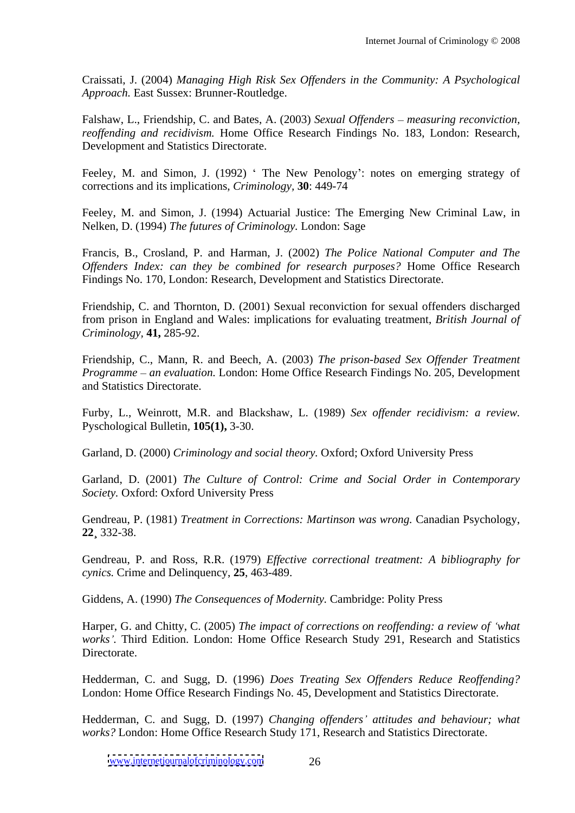Craissati, J. (2004) *Managing High Risk Sex Of enders in the Community: A Psychological Approach.* East Sussex: Brunner-Routledge.

Falshaw, L., Friendship, C. and Bates, A. (2003) *Sexual Offenders - measuring reconviction*, *reoffending and recidivism.* Home Office Research Findings No. 183, London: Research, Development and Statistics Directorate.

Feeley, M. and Simon, J. (1992) 'The New Penology': notes on emerging strategy of corrections and its implications, *Criminology,* **30**: 449-74

Feeley, M. and Simon, J. (1994) Actuarial Justice: The Emerging New Criminal Law, in Nelken, D. (1994) *The futures of Criminology.* London: Sage

Francis, B., Crosland, P. and Harman, J. (2002) *The Police National Computer and The Of enders Index: can they be combined for research purposes?* Home Office Research Findings No. 170, London: Research, Development and Statistics Directorate.

Friendship, C. and Thornton, D. (2001) Sexual reconviction for sexual offenders discharged from prison in England and Wales: implications for evaluating treatment, *British Journal of Criminology,* **41,** 285-92.

Friendship, C., Mann, R. and Beech, A. (2003) *The prison-based Sex Offender Treatment Programme an evaluation.* London: Home Office Research Findings No. 205, Development and Statistics Directorate.

Furby, L., Weinrott, M.R. and Blackshaw, L. (1989) Sex offender recidivism: a review. Pyschological Bulletin, **105(1),** 3-30.

Garland, D. (2000) *Criminology and social theory.* Oxford; Oxford University Press

Garland, D. (2001) *The Culture of Control: Crime and Social Order in Contemporary Society.* Oxford: Oxford University Press

Gendreau, P. (1981) *Treatment in Corrections: Martinson was wrong.* Canadian Psychology, **22¸** 332-38.

Gendreau, P. and Ross, R.R. (1979) *Effective correctional treatment: A bibliography for cynics.* Crime and Delinquency, **25**, 463-489.

Giddens, A. (1990) *The Consequences of Modernity.* Cambridge: Polity Press

Harper, G. and Chitty, C. (2005) *The impact of corrections on reof ending: a review of what works .* Third Edition. London: Home Office Research Study 291, Research and Statistics Directorate.

Hedderman, C. and Sugg, D. (1996) *Does Treating Sex Offenders Reduce Reoffending?* London: Home Office Research Findings No. 45, Development and Statistics Directorate.

Hedderman, C. and Sugg, D. (1997) *Changing offenders' attitudes and behaviour; what works?* London: Home Office Research Study 171, Research and Statistics Directorate.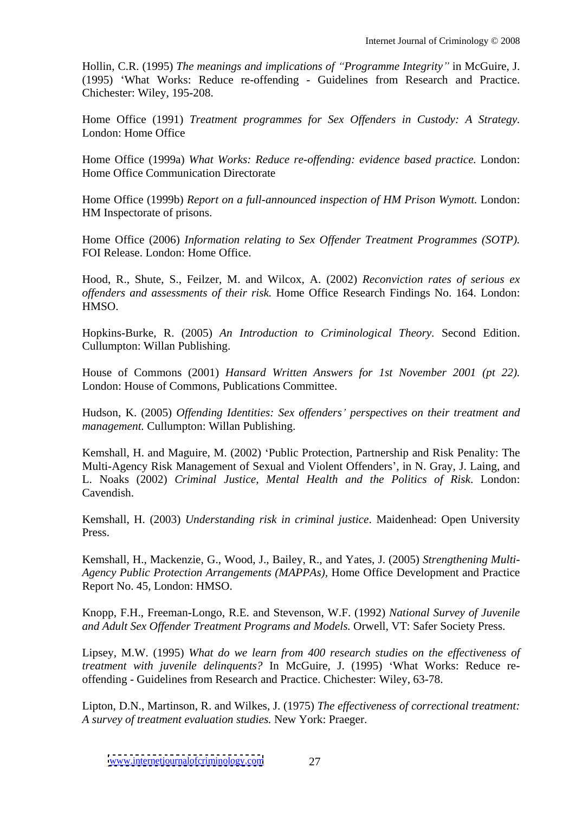Hollin, C.R. (1995) *The meanings and implications of Programme Integrity* in McGuire, J. (1995) What Works: Reduce re-offending - Guidelines from Research and Practice. Chichester: Wiley, 195-208.

Home Office (1991) *Treatment programmes for Sex Offenders in Custody: A Strategy.* London: Home Office

Home Office (1999a) *What Works: Reduce re-of ending: evidence based practice.* London: Home Office Communication Directorate

Home Office (1999b) *Report on a full-announced inspection of HM Prison Wymott.* London: HM Inspectorate of prisons.

Home Office (2006) *Information relating to Sex Offender Treatment Programmes (SOTP).* FOI Release. London: Home Office.

Hood, R., Shute, S., Feilzer, M. and Wilcox, A. (2002) *Reconviction rates of serious ex of enders and assessments of their risk.* Home Office Research Findings No. 164. London: HMSO.

Hopkins-Burke, R. (2005) *An Introduction to Criminological Theory.* Second Edition. Cullumpton: Willan Publishing.

House of Commons (2001) *Hansard Written Answers for 1st November 2001 (pt 22).* London: House of Commons, Publications Committee.

Hudson, K. (2005) *Of ending Identities: Sex of enders perspectives on their treatment and management.* Cullumpton: Willan Publishing.

Kemshall, H. and Maguire, M. (2002) Public Protection, Partnership and Risk Penality: The Multi-Agency Risk Management of Sexual and Violent Offenders', in N. Gray, J. Laing, and L. Noaks (2002) *Criminal Justice, Mental Health and the Politics of Risk*. London: Cavendish.

Kemshall, H. (2003) *Understanding risk in criminal justice*. Maidenhead: Open University Press.

Kemshall, H., Mackenzie, G., Wood, J., Bailey, R., and Yates, J. (2005) *Strengthening Multi- Agency Public Protection Arrangements (MAPPAs),* Home Office Development and Practice Report No. 45, London: HMSO.

Knopp, F.H., Freeman-Longo, R.E. and Stevenson, W.F. (1992) *National Survey of Juvenile and Adult Sex Of ender Treatment Programs and Models.* Orwell, VT: Safer Society Press.

Lipsey, M.W. (1995) *What do we learn from 400 research studies on the ef ectiveness of treatment with juvenile delinquents?* In McGuire, J. (1995) What Works: Reduce re offending - Guidelines from Research and Practice. Chichester: Wiley, 63-78.

Lipton, D.N., Martinson, R. and Wilkes, J. (1975) *The effectiveness of correctional treatment: A survey of treatment evaluation studies.* New York: Praeger.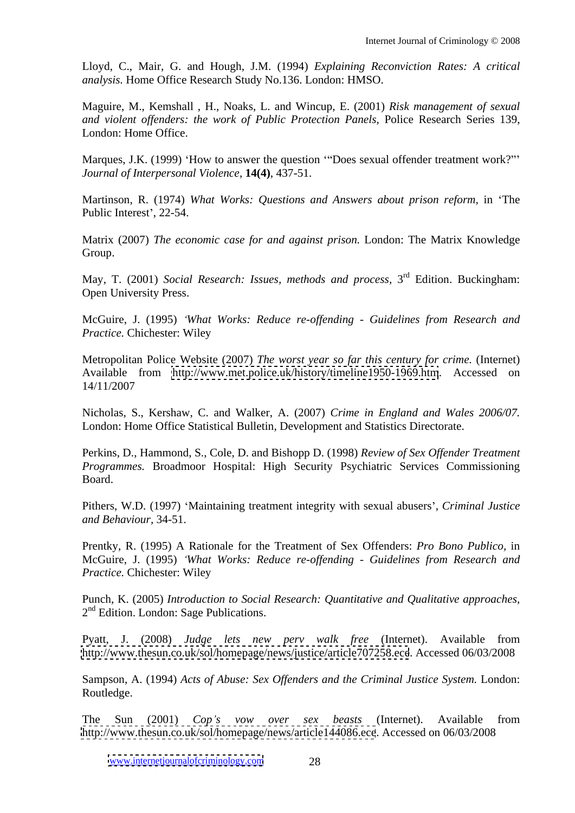Lloyd, C., Mair, G. and Hough, J.M. (1994) *Explaining Reconviction Rates: A critical analysis.* Home Office Research Study No.136. London: HMSO.

Maguire, M., Kemshall , H., Noaks, L. and Wincup, E. (2001) *Risk management of sexual and violent of enders: the work of Public Protection Panels,* Police Research Series 139, London: Home Office.

Marques, J.K. (1999) 'How to answer the question "'Does sexual offender treatment work?"' *Journal of Interpersonal Violence,* **14(4)**, 437-51.

Martinson, R. (1974) *What Works: Questions and Answers about prison reform,* in The Public Interest', 22-54.

Matrix (2007) *The economic case for and against prison.* London: The Matrix Knowledge Group. The contract of the contract of the contract of the contract of the contract of the contract of the contract of the contract of the contract of the contract of the contract of the contract of the contract of the con

May, T. (2001) *Social Research: Issues, methods and process,* 3 rd Edition. Buckingham: Open University Press.

McGuire, J. (1995) *What Works: Reduce re-of ending - Guidelines from Research and Practice.* Chichester: Wiley

Metropolitan Police Website (2007) *The worst year so farthiscentury for crime.* (Internet) Available from <http://www.met.police.uk/history/timeline1950-1969.htm>. Accessed on 14/11/2007

Nicholas, S., Kershaw, C. and Walker, A. (2007) *Crime in England and Wales 2006/07.* London: Home Office Statistical Bulletin, Development and Statistics Directorate.

Perkins, D., Hammond, S., Cole, D. and Bishopp D. (1998) *Review of Sex Offender Treatment Programmes.* Broadmoor Hospital: High Security Psychiatric Services Commissioning Board.

Pithers, W.D. (1997) Maintaining treatment integrity with sexual abusers , *Criminal Justice and Behaviour,* 34-51.

Prentky, R. (1995) A Rationale for the Treatment of Sex Offenders: *Pro Bono Publico,* in McGuire, J. (1995) *What Works: Reduce re-of ending - Guidelines from Research and Practice.* Chichester: Wiley

Punch, K. (2005) *Introduction to Social Research: Quantitative and Qualitative approaches,* 2 nd Edition. London: Sage Publications.

Pyatt, J. (2008) *Judge lets new perv walk free* (Internet). Available from <http://www.thesun.co.uk/sol/homepage/news/justice/article707258.ece>. Accessed 06/03/2008

Sampson, A. (1994) *Acts of Abuse: Sex Of enders and the Criminal Justice System.* London: Routledge. The contract of the contract of the contract of the contract of the contract of the contract of the contract of the contract of the contract of the contract of the contract of the contract of the contract of the

The Sun (2001) *Cop s vow over sex beasts* (Internet). Available from <http://www.thesun.co.uk/sol/homepage/news/article144086.ece>. Accessed on 06/03/2008